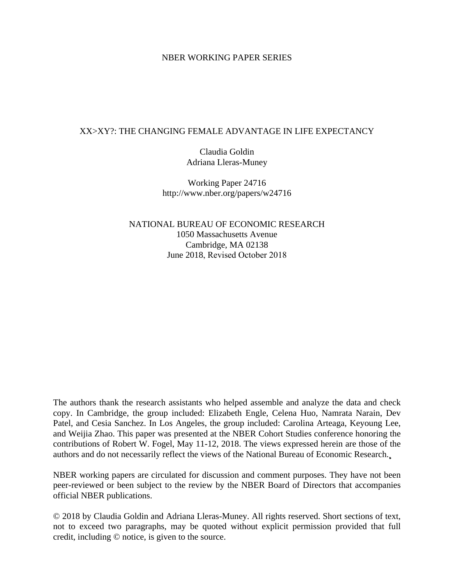### NBER WORKING PAPER SERIES

### XX>XY?: THE CHANGING FEMALE ADVANTAGE IN LIFE EXPECTANCY

Claudia Goldin Adriana Lleras-Muney

Working Paper 24716 http://www.nber.org/papers/w24716

NATIONAL BUREAU OF ECONOMIC RESEARCH 1050 Massachusetts Avenue Cambridge, MA 02138 June 2018, Revised October 2018

The authors thank the research assistants who helped assemble and analyze the data and check copy. In Cambridge, the group included: Elizabeth Engle, Celena Huo, Namrata Narain, Dev Patel, and Cesia Sanchez. In Los Angeles, the group included: Carolina Arteaga, Keyoung Lee, and Weijia Zhao. This paper was presented at the NBER Cohort Studies conference honoring the contributions of Robert W. Fogel, May 11-12, 2018. The views expressed herein are those of the authors and do not necessarily reflect the views of the National Bureau of Economic Research.

NBER working papers are circulated for discussion and comment purposes. They have not been peer-reviewed or been subject to the review by the NBER Board of Directors that accompanies official NBER publications.

© 2018 by Claudia Goldin and Adriana Lleras-Muney. All rights reserved. Short sections of text, not to exceed two paragraphs, may be quoted without explicit permission provided that full credit, including © notice, is given to the source.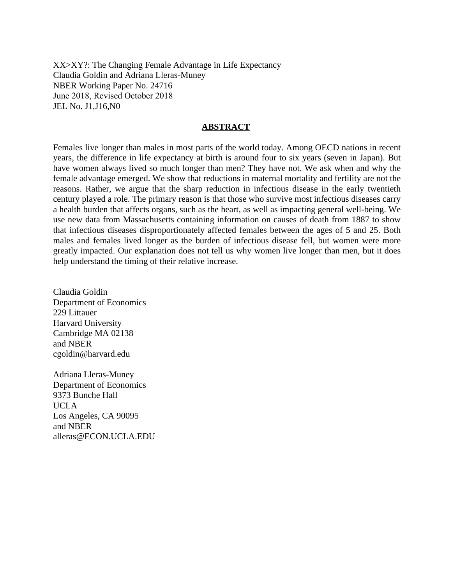XX>XY?: The Changing Female Advantage in Life Expectancy Claudia Goldin and Adriana Lleras-Muney NBER Working Paper No. 24716 June 2018, Revised October 2018 JEL No. J1,J16,N0

#### **ABSTRACT**

Females live longer than males in most parts of the world today. Among OECD nations in recent years, the difference in life expectancy at birth is around four to six years (seven in Japan). But have women always lived so much longer than men? They have not. We ask when and why the female advantage emerged. We show that reductions in maternal mortality and fertility are not the reasons. Rather, we argue that the sharp reduction in infectious disease in the early twentieth century played a role. The primary reason is that those who survive most infectious diseases carry a health burden that affects organs, such as the heart, as well as impacting general well-being. We use new data from Massachusetts containing information on causes of death from 1887 to show that infectious diseases disproportionately affected females between the ages of 5 and 25. Both males and females lived longer as the burden of infectious disease fell, but women were more greatly impacted. Our explanation does not tell us why women live longer than men, but it does help understand the timing of their relative increase.

Claudia Goldin Department of Economics 229 Littauer Harvard University Cambridge MA 02138 and NBER cgoldin@harvard.edu

Adriana Lleras-Muney Department of Economics 9373 Bunche Hall UCLA Los Angeles, CA 90095 and NBER alleras@ECON.UCLA.EDU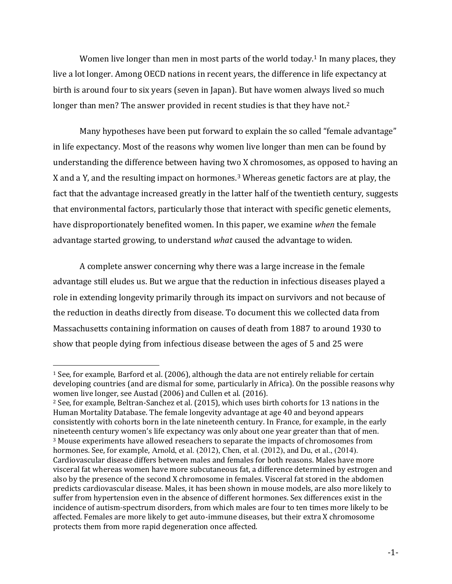Women live longer than men in most parts of the world today.<sup>1</sup> In many places, they live a lot longer. Among OECD nations in recent years, the difference in life expectancy at birth is around four to six years (seven in Japan). But have women always lived so much longer than men? The answer provided in recent studies is that they have not.<sup>2</sup>

Many hypotheses have been put forward to explain the so called "female advantage" in life expectancy. Most of the reasons why women live longer than men can be found by understanding the difference between having two X chromosomes, as opposed to having an X and a Y, and the resulting impact on hormones.<sup>3</sup> Whereas genetic factors are at play, the fact that the advantage increased greatly in the latter half of the twentieth century, suggests that environmental factors, particularly those that interact with specific genetic elements, have disproportionately benefited women. In this paper, we examine *when* the female advantage started growing, to understand *what* caused the advantage to widen.

A complete answer concerning why there was a large increase in the female advantage still eludes us. But we argue that the reduction in infectious diseases played a role in extending longevity primarily through its impact on survivors and not because of the reduction in deaths directly from disease. To document this we collected data from Massachusetts containing information on causes of death from 1887 to around 1930 to show that people dying from infectious disease between the ages of 5 and 25 were

<sup>1</sup> See, for example, Barford et al. (2006), although the data are not entirely reliable for certain developing countries (and are dismal for some, particularly in Africa). On the possible reasons why women live longer, see Austad (2006) and Cullen et al. (2016).

<sup>2</sup> See, for example, Beltran-Sanchez et al. (2015), which uses birth cohorts for 13 nations in the Human Mortality Database. The female longevity advantage at age 40 and beyond appears consistently with cohorts born in the late nineteenth century. In France, for example, in the early nineteenth century women's life expectancy was only about one year greater than that of men. <sup>3</sup> Mouse experiments have allowed reseachers to separate the impacts of chromosomes from hormones. See, for example, Arnold, et al. (2012), Chen, et al. (2012), and Du, et al., (2014). Cardiovascular disease differs between males and females for both reasons. Males have more visceral fat whereas women have more subcutaneous fat, a difference determined by estrogen and also by the presence of the second X chromosome in females. Visceral fat stored in the abdomen predicts cardiovascular disease. Males, it has been shown in mouse models, are also more likely to suffer from hypertension even in the absence of different hormones. Sex differences exist in the incidence of autism-spectrum disorders, from which males are four to ten times more likely to be affected. Females are more likely to get auto-immune diseases, but their extra X chromosome protects them from more rapid degeneration once affected.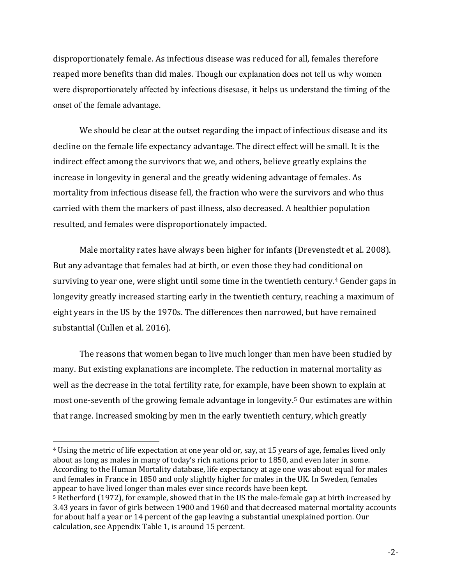disproportionately female. As infectious disease was reduced for all, females therefore reaped more benefits than did males. Though our explanation does not tell us why women were disproportionately affected by infectious disesase, it helps us understand the timing of the onset of the female advantage.

We should be clear at the outset regarding the impact of infectious disease and its decline on the female life expectancy advantage. The direct effect will be small. It is the indirect effect among the survivors that we, and others, believe greatly explains the increase in longevity in general and the greatly widening advantage of females. As mortality from infectious disease fell, the fraction who were the survivors and who thus carried with them the markers of past illness, also decreased. A healthier population resulted, and females were disproportionately impacted.

Male mortality rates have always been higher for infants (Drevenstedt et al. 2008). But any advantage that females had at birth, or even those they had conditional on surviving to year one, were slight until some time in the twentieth century.<sup>4</sup> Gender gaps in longevity greatly increased starting early in the twentieth century, reaching a maximum of eight years in the US by the 1970s. The differences then narrowed, but have remained substantial (Cullen et al. 2016).

The reasons that women began to live much longer than men have been studied by many. But existing explanations are incomplete. The reduction in maternal mortality as well as the decrease in the total fertility rate, for example, have been shown to explain at most one-seventh of the growing female advantage in longevity. <sup>5</sup> Our estimates are within that range. Increased smoking by men in the early twentieth century, which greatly

<sup>4</sup> Using the metric of life expectation at one year old or, say, at 15 years of age, females lived only about as long as males in many of today's rich nations prior to 1850, and even later in some. According to the Human Mortality database, life expectancy at age one was about equal for males and females in France in 1850 and only slightly higher for males in the UK. In Sweden, females appear to have lived longer than males ever since records have been kept.

<sup>5</sup> Retherford (1972), for example, showed that in the US the male-female gap at birth increased by 3.43 years in favor of girls between 1900 and 1960 and that decreased maternal mortality accounts for about half a year or 14 percent of the gap leaving a substantial unexplained portion. Our calculation, see Appendix Table 1, is around 15 percent.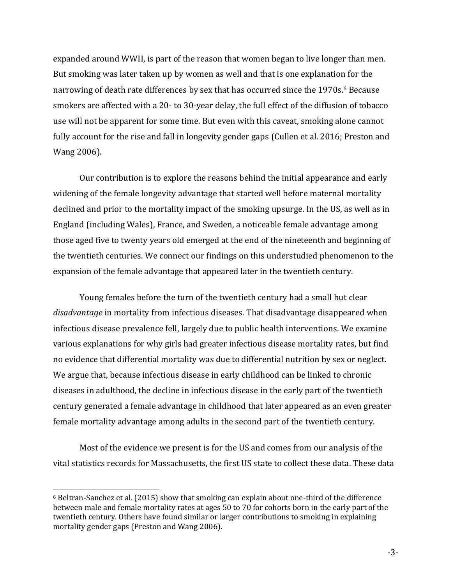expanded around WWII, is part of the reason that women began to live longer than men. But smoking was later taken up by women as well and that is one explanation for the narrowing of death rate differences by sex that has occurred since the 1970s. <sup>6</sup> Because smokers are affected with a 20- to 30-year delay, the full effect of the diffusion of tobacco use will not be apparent for some time. But even with this caveat, smoking alone cannot fully account for the rise and fall in longevity gender gaps (Cullen et al. 2016; Preston and Wang 2006).

Our contribution is to explore the reasons behind the initial appearance and early widening of the female longevity advantage that started well before maternal mortality declined and prior to the mortality impact of the smoking upsurge. In the US, as well as in England (including Wales), France, and Sweden, a noticeable female advantage among those aged five to twenty years old emerged at the end of the nineteenth and beginning of the twentieth centuries. We connect our findings on this understudied phenomenon to the expansion of the female advantage that appeared later in the twentieth century.

Young females before the turn of the twentieth century had a small but clear *disadvantage* in mortality from infectious diseases. That disadvantage disappeared when infectious disease prevalence fell, largely due to public health interventions. We examine various explanations for why girls had greater infectious disease mortality rates, but find no evidence that differential mortality was due to differential nutrition by sex or neglect. We argue that, because infectious disease in early childhood can be linked to chronic diseases in adulthood, the decline in infectious disease in the early part of the twentieth century generated a female advantage in childhood that later appeared as an even greater female mortality advantage among adults in the second part of the twentieth century.

Most of the evidence we present is for the US and comes from our analysis of the vital statistics records for Massachusetts, the first US state to collect these data. These data

<sup>6</sup> Beltran-Sanchez et al. (2015) show that smoking can explain about one-third of the difference between male and female mortality rates at ages 50 to 70 for cohorts born in the early part of the twentieth century. Others have found similar or larger contributions to smoking in explaining mortality gender gaps (Preston and Wang 2006).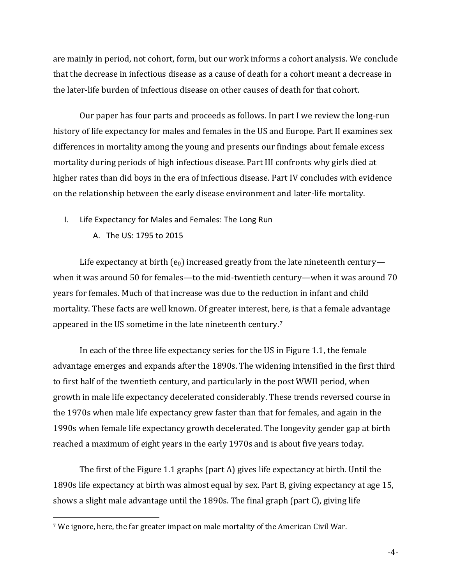are mainly in period, not cohort, form, but our work informs a cohort analysis. We conclude that the decrease in infectious disease as a cause of death for a cohort meant a decrease in the later-life burden of infectious disease on other causes of death for that cohort.

Our paper has four parts and proceeds as follows. In part I we review the long-run history of life expectancy for males and females in the US and Europe. Part II examines sex differences in mortality among the young and presents our findings about female excess mortality during periods of high infectious disease. Part III confronts why girls died at higher rates than did boys in the era of infectious disease. Part IV concludes with evidence on the relationship between the early disease environment and later-life mortality.

- I. Life Expectancy for Males and Females: The Long Run
	- A. The US: 1795 to 2015

 $\overline{a}$ 

Life expectancy at birth ( $e_0$ ) increased greatly from the late nineteenth century when it was around 50 for females—to the mid-twentieth century—when it was around 70 years for females. Much of that increase was due to the reduction in infant and child mortality. These facts are well known. Of greater interest, here, is that a female advantage appeared in the US sometime in the late nineteenth century.<sup>7</sup>

In each of the three life expectancy series for the US in Figure 1.1, the female advantage emerges and expands after the 1890s. The widening intensified in the first third to first half of the twentieth century, and particularly in the post WWII period, when growth in male life expectancy decelerated considerably. These trends reversed course in the 1970s when male life expectancy grew faster than that for females, and again in the 1990s when female life expectancy growth decelerated. The longevity gender gap at birth reached a maximum of eight years in the early 1970s and is about five years today.

The first of the Figure 1.1 graphs (part A) gives life expectancy at birth. Until the 1890s life expectancy at birth was almost equal by sex. Part B, giving expectancy at age 15, shows a slight male advantage until the 1890s. The final graph (part C), giving life

<sup>7</sup> We ignore, here, the far greater impact on male mortality of the American Civil War.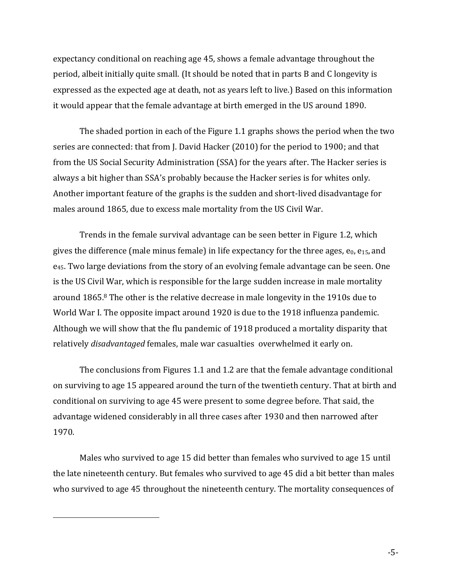expectancy conditional on reaching age 45, shows a female advantage throughout the period, albeit initially quite small. (It should be noted that in parts B and C longevity is expressed as the expected age at death, not as years left to live.) Based on this information it would appear that the female advantage at birth emerged in the US around 1890.

The shaded portion in each of the Figure 1.1 graphs shows the period when the two series are connected: that from J. David Hacker (2010) for the period to 1900; and that from the US Social Security Administration (SSA) for the years after. The Hacker series is always a bit higher than SSA's probably because the Hacker series is for whites only. Another important feature of the graphs is the sudden and short-lived disadvantage for males around 1865, due to excess male mortality from the US Civil War.

Trends in the female survival advantage can be seen better in Figure 1.2, which gives the difference (male minus female) in life expectancy for the three ages,  $e_0$ ,  $e_{15}$ , and e45. Two large deviations from the story of an evolving female advantage can be seen. One is the US Civil War, which is responsible for the large sudden increase in male mortality around 1865.<sup>8</sup> The other is the relative decrease in male longevity in the 1910s due to World War I. The opposite impact around 1920 is due to the 1918 influenza pandemic. Although we will show that the flu pandemic of 1918 produced a mortality disparity that relatively *disadvantaged* females, male war casualties overwhelmed it early on.

The conclusions from Figures 1.1 and 1.2 are that the female advantage conditional on surviving to age 15 appeared around the turn of the twentieth century. That at birth and conditional on surviving to age 45 were present to some degree before. That said, the advantage widened considerably in all three cases after 1930 and then narrowed after 1970.

Males who survived to age 15 did better than females who survived to age 15 until the late nineteenth century. But females who survived to age 45 did a bit better than males who survived to age 45 throughout the nineteenth century. The mortality consequences of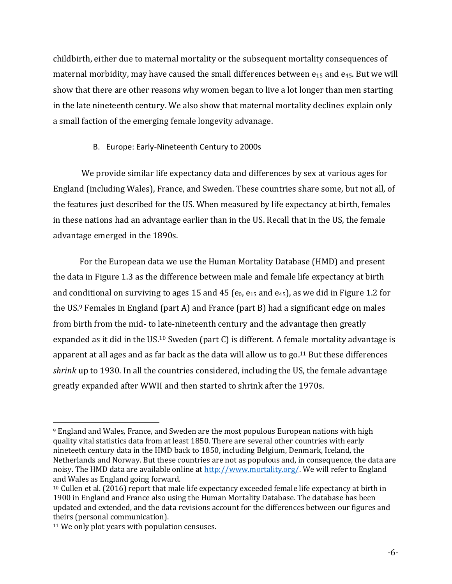childbirth, either due to maternal mortality or the subsequent mortality consequences of maternal morbidity, may have caused the small differences between  $e_{15}$  and  $e_{45}$ . But we will show that there are other reasons why women began to live a lot longer than men starting in the late nineteenth century. We also show that maternal mortality declines explain only a small faction of the emerging female longevity advanage.

## B. Europe: Early-Nineteenth Century to 2000s

We provide similar life expectancy data and differences by sex at various ages for England (including Wales), France, and Sweden. These countries share some, but not all, of the features just described for the US. When measured by life expectancy at birth, females in these nations had an advantage earlier than in the US. Recall that in the US, the female advantage emerged in the 1890s.

For the European data we use the Human Mortality Database (HMD) and present the data in Figure 1.3 as the difference between male and female life expectancy at birth and conditional on surviving to ages 15 and 45 ( $e_0$ ,  $e_{15}$  and  $e_{45}$ ), as we did in Figure 1.2 for the US. <sup>9</sup> Females in England (part A) and France (part B) had a significant edge on males from birth from the mid- to late-nineteenth century and the advantage then greatly expanded as it did in the US.<sup>10</sup> Sweden (part C) is different. A female mortality advantage is apparent at all ages and as far back as the data will allow us to go. <sup>11</sup> But these differences *shrink* up to 1930. In all the countries considered, including the US, the female advantage greatly expanded after WWII and then started to shrink after the 1970s.

<sup>9</sup> England and Wales, France, and Sweden are the most populous European nations with high quality vital statistics data from at least 1850. There are several other countries with early nineteeth century data in the HMD back to 1850, including Belgium, Denmark, Iceland, the Netherlands and Norway. But these countries are not as populous and, in consequence, the data are noisy. The HMD data are available online at [http://www.mortality.org/.](http://www.mortality.org/) We will refer to England and Wales as England going forward.

<sup>10</sup> Cullen et al. (2016) report that male life expectancy exceeded female life expectancy at birth in 1900 in England and France also using the Human Mortality Database. The database has been updated and extended, and the data revisions account for the differences between our figures and theirs (personal communication).

<sup>&</sup>lt;sup>11</sup> We only plot years with population censuses.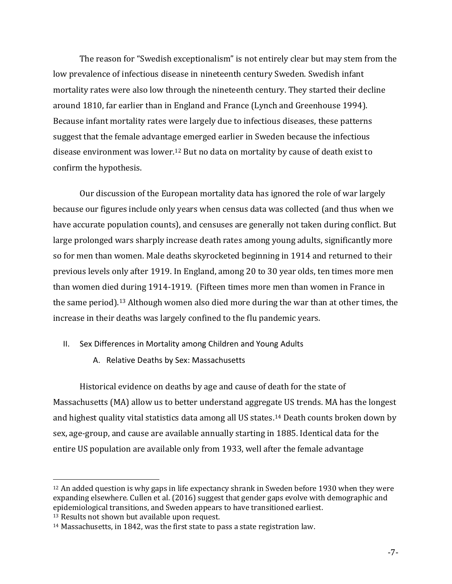The reason for "Swedish exceptionalism" is not entirely clear but may stem from the low prevalence of infectious disease in nineteenth century Sweden. Swedish infant mortality rates were also low through the nineteenth century. They started their decline around 1810, far earlier than in England and France (Lynch and Greenhouse 1994). Because infant mortality rates were largely due to infectious diseases, these patterns suggest that the female advantage emerged earlier in Sweden because the infectious disease environment was lower.<sup>12</sup> But no data on mortality by cause of death exist to confirm the hypothesis.

Our discussion of the European mortality data has ignored the role of war largely because our figures include only years when census data was collected (and thus when we have accurate population counts), and censuses are generally not taken during conflict. But large prolonged wars sharply increase death rates among young adults, significantly more so for men than women. Male deaths skyrocketed beginning in 1914 and returned to their previous levels only after 1919. In England, among 20 to 30 year olds, ten times more men than women died during 1914-1919. (Fifteen times more men than women in France in the same period). <sup>13</sup> Although women also died more during the war than at other times, the increase in their deaths was largely confined to the flu pandemic years.

- II. Sex Differences in Mortality among Children and Young Adults
	- A. Relative Deaths by Sex: Massachusetts

Historical evidence on deaths by age and cause of death for the state of Massachusetts (MA) allow us to better understand aggregate US trends. MA has the longest and highest quality vital statistics data among all US states. <sup>14</sup> Death counts broken down by sex, age-group, and cause are available annually starting in 1885. Identical data for the entire US population are available only from 1933, well after the female advantage

 $12$  An added question is why gaps in life expectancy shrank in Sweden before 1930 when they were expanding elsewhere. Cullen et al. (2016) suggest that gender gaps evolve with demographic and epidemiological transitions, and Sweden appears to have transitioned earliest.

<sup>13</sup> Results not shown but available upon request.

<sup>14</sup> Massachusetts, in 1842, was the first state to pass a state registration law.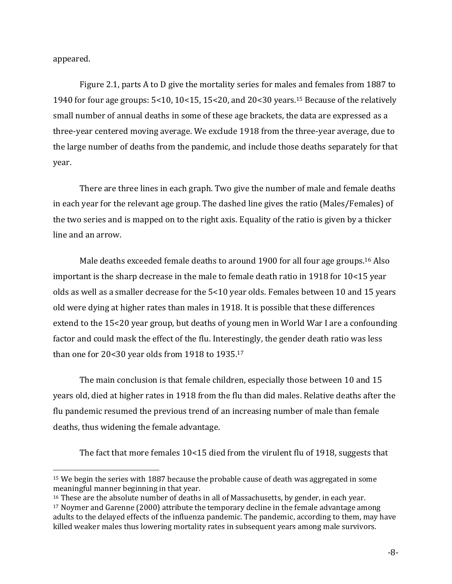appeared.

 $\overline{a}$ 

Figure 2.1, parts A to D give the mortality series for males and females from 1887 to 1940 for four age groups: 5<10, 10<15, 15<20, and 20<30 years. <sup>15</sup> Because of the relatively small number of annual deaths in some of these age brackets, the data are expressed as a three-year centered moving average. We exclude 1918 from the three-year average, due to the large number of deaths from the pandemic, and include those deaths separately for that year.

There are three lines in each graph. Two give the number of male and female deaths in each year for the relevant age group. The dashed line gives the ratio (Males/Females) of the two series and is mapped on to the right axis. Equality of the ratio is given by a thicker line and an arrow.

Male deaths exceeded female deaths to around 1900 for all four age groups.<sup>16</sup> Also important is the sharp decrease in the male to female death ratio in 1918 for 10<15 year olds as well as a smaller decrease for the 5<10 year olds. Females between 10 and 15 years old were dying at higher rates than males in 1918. It is possible that these differences extend to the 15<20 year group, but deaths of young men in World War I are a confounding factor and could mask the effect of the flu. Interestingly, the gender death ratio was less than one for 20<30 year olds from 1918 to 1935.<sup>17</sup>

The main conclusion is that female children, especially those between 10 and 15 years old, died at higher rates in 1918 from the flu than did males. Relative deaths after the flu pandemic resumed the previous trend of an increasing number of male than female deaths, thus widening the female advantage.

The fact that more females 10<15 died from the virulent flu of 1918, suggests that

<sup>15</sup> We begin the series with 1887 because the probable cause of death was aggregated in some meaningful manner beginning in that year.

<sup>&</sup>lt;sup>16</sup> These are the absolute number of deaths in all of Massachusetts, by gender, in each year.

<sup>17</sup> Noymer and Garenne (2000) attribute the temporary decline in the female advantage among adults to the delayed effects of the influenza pandemic. The pandemic, according to them, may have killed weaker males thus lowering mortality rates in subsequent years among male survivors.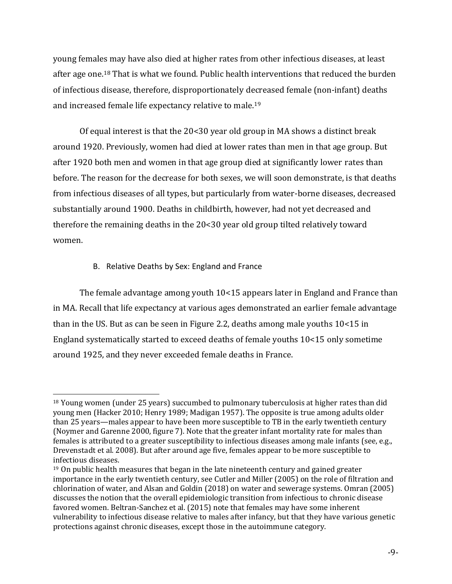young females may have also died at higher rates from other infectious diseases, at least after age one.<sup>18</sup> That is what we found. Public health interventions that reduced the burden of infectious disease, therefore, disproportionately decreased female (non-infant) deaths and increased female life expectancy relative to male. 19

Of equal interest is that the 20<30 year old group in MA shows a distinct break around 1920. Previously, women had died at lower rates than men in that age group. But after 1920 both men and women in that age group died at significantly lower rates than before. The reason for the decrease for both sexes, we will soon demonstrate, is that deaths from infectious diseases of all types, but particularly from water-borne diseases, decreased substantially around 1900. Deaths in childbirth, however, had not yet decreased and therefore the remaining deaths in the 20<30 year old group tilted relatively toward women.

### B. Relative Deaths by Sex: England and France

The female advantage among youth 10<15 appears later in England and France than in MA. Recall that life expectancy at various ages demonstrated an earlier female advantage than in the US. But as can be seen in Figure 2.2, deaths among male youths 10<15 in England systematically started to exceed deaths of female youths 10<15 only sometime around 1925, and they never exceeded female deaths in France.

 $\overline{a}$ <sup>18</sup> Young women (under 25 years) succumbed to pulmonary tuberculosis at higher rates than did young men (Hacker 2010; Henry 1989; Madigan 1957). The opposite is true among adults older than 25 years—males appear to have been more susceptible to TB in the early twentieth century (Noymer and Garenne 2000, figure 7). Note that the greater infant mortality rate for males than females is attributed to a greater susceptibility to infectious diseases among male infants (see, e.g., Drevenstadt et al. 2008). But after around age five, females appear to be more susceptible to infectious diseases.

<sup>19</sup> On public health measures that began in the late nineteenth century and gained greater importance in the early twentieth century, see Cutler and Miller (2005) on the role of filtration and chlorination of water, and Alsan and Goldin (2018) on water and sewerage systems. Omran (2005) discusses the notion that the overall epidemiologic transition from infectious to chronic disease favored women. Beltran-Sanchez et al. (2015) note that females may have some inherent vulnerability to infectious disease relative to males after infancy, but that they have various genetic protections against chronic diseases, except those in the autoimmune category.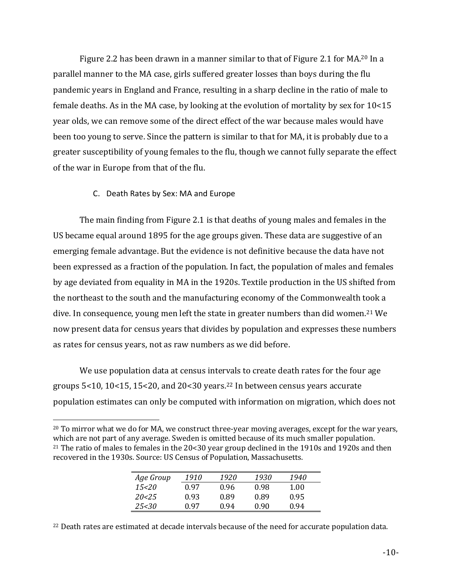Figure 2.2 has been drawn in a manner similar to that of Figure 2.1 for MA.<sup>20</sup> In a parallel manner to the MA case, girls suffered greater losses than boys during the flu pandemic years in England and France, resulting in a sharp decline in the ratio of male to female deaths. As in the MA case, by looking at the evolution of mortality by sex for 10<15 year olds, we can remove some of the direct effect of the war because males would have been too young to serve. Since the pattern is similar to that for MA, it is probably due to a greater susceptibility of young females to the flu, though we cannot fully separate the effect of the war in Europe from that of the flu.

### C. Death Rates by Sex: MA and Europe

 $\overline{a}$ 

The main finding from Figure 2.1 is that deaths of young males and females in the US became equal around 1895 for the age groups given. These data are suggestive of an emerging female advantage. But the evidence is not definitive because the data have not been expressed as a fraction of the population. In fact, the population of males and females by age deviated from equality in MA in the 1920s. Textile production in the US shifted from the northeast to the south and the manufacturing economy of the Commonwealth took a dive. In consequence, young men left the state in greater numbers than did women. <sup>21</sup> We now present data for census years that divides by population and expresses these numbers as rates for census years, not as raw numbers as we did before.

We use population data at census intervals to create death rates for the four age groups 5<10, 10<15, 15<20, and 20<30 years. <sup>22</sup> In between census years accurate population estimates can only be computed with information on migration, which does not

<sup>20</sup> To mirror what we do for MA, we construct three-year moving averages, except for the war years, which are not part of any average. Sweden is omitted because of its much smaller population. <sup>21</sup> The ratio of males to females in the 20<30 year group declined in the 1910s and 1920s and then recovered in the 1930s. Source: US Census of Population, Massachusetts.

| 1910<br>1920<br>1930<br>Age Group    | 1940 |  |
|--------------------------------------|------|--|
| 15<20<br>0.97<br>0.98<br>0.96        | 1.00 |  |
| 20< 25<br>0.93<br>0.89<br>0.89       | 0.95 |  |
| 25<30<br>በ ዓ7<br>0.94<br><u>በ ዓበ</u> | 0.94 |  |

<sup>22</sup> Death rates are estimated at decade intervals because of the need for accurate population data.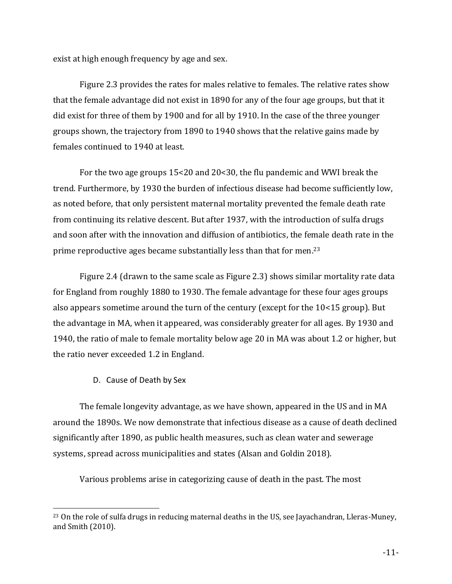exist at high enough frequency by age and sex.

Figure 2.3 provides the rates for males relative to females. The relative rates show that the female advantage did not exist in 1890 for any of the four age groups, but that it did exist for three of them by 1900 and for all by 1910. In the case of the three younger groups shown, the trajectory from 1890 to 1940 shows that the relative gains made by females continued to 1940 at least.

For the two age groups 15<20 and 20<30, the flu pandemic and WWI break the trend. Furthermore, by 1930 the burden of infectious disease had become sufficiently low, as noted before, that only persistent maternal mortality prevented the female death rate from continuing its relative descent. But after 1937, with the introduction of sulfa drugs and soon after with the innovation and diffusion of antibiotics, the female death rate in the prime reproductive ages became substantially less than that for men.<sup>23</sup>

Figure 2.4 (drawn to the same scale as Figure 2.3) shows similar mortality rate data for England from roughly 1880 to 1930. The female advantage for these four ages groups also appears sometime around the turn of the century (except for the 10<15 group). But the advantage in MA, when it appeared, was considerably greater for all ages. By 1930 and 1940, the ratio of male to female mortality below age 20 in MA was about 1.2 or higher, but the ratio never exceeded 1.2 in England.

D. Cause of Death by Sex

 $\overline{a}$ 

The female longevity advantage, as we have shown, appeared in the US and in MA around the 1890s. We now demonstrate that infectious disease as a cause of death declined significantly after 1890, as public health measures, such as clean water and sewerage systems, spread across municipalities and states (Alsan and Goldin 2018).

Various problems arise in categorizing cause of death in the past. The most

<sup>23</sup> On the role of sulfa drugs in reducing maternal deaths in the US, see Jayachandran, Lleras-Muney, and Smith (2010).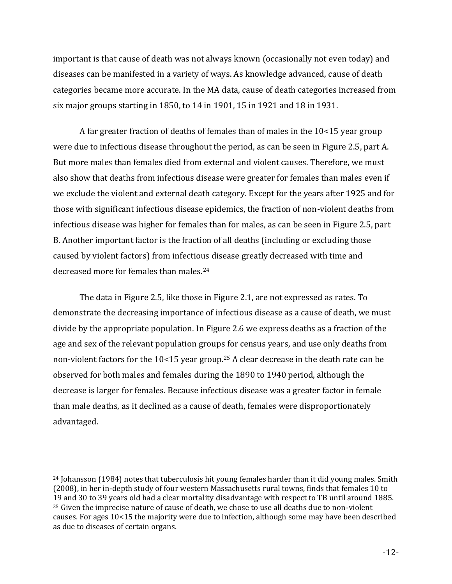important is that cause of death was not always known (occasionally not even today) and diseases can be manifested in a variety of ways. As knowledge advanced, cause of death categories became more accurate. In the MA data, cause of death categories increased from six major groups starting in 1850, to 14 in 1901, 15 in 1921 and 18 in 1931.

A far greater fraction of deaths of females than of males in the 10<15 year group were due to infectious disease throughout the period, as can be seen in Figure 2.5, part A. But more males than females died from external and violent causes. Therefore, we must also show that deaths from infectious disease were greater for females than males even if we exclude the violent and external death category. Except for the years after 1925 and for those with significant infectious disease epidemics, the fraction of non-violent deaths from infectious disease was higher for females than for males, as can be seen in Figure 2.5, part B. Another important factor is the fraction of all deaths (including or excluding those caused by violent factors) from infectious disease greatly decreased with time and decreased more for females than males.<sup>24</sup>

The data in Figure 2.5, like those in Figure 2.1, are not expressed as rates. To demonstrate the decreasing importance of infectious disease as a cause of death, we must divide by the appropriate population. In Figure 2.6 we express deaths as a fraction of the age and sex of the relevant population groups for census years, and use only deaths from non-violent factors for the 10<15 year group. <sup>25</sup> A clear decrease in the death rate can be observed for both males and females during the 1890 to 1940 period, although the decrease is larger for females. Because infectious disease was a greater factor in female than male deaths, as it declined as a cause of death, females were disproportionately advantaged.

<sup>&</sup>lt;sup>24</sup> Johansson (1984) notes that tuberculosis hit young females harder than it did young males. Smith (2008), in her in-depth study of four western Massachusetts rural towns, finds that females 10 to 19 and 30 to 39 years old had a clear mortality disadvantage with respect to TB until around 1885. <sup>25</sup> Given the imprecise nature of cause of death, we chose to use all deaths due to non-violent causes. For ages 10<15 the majority were due to infection, although some may have been described as due to diseases of certain organs.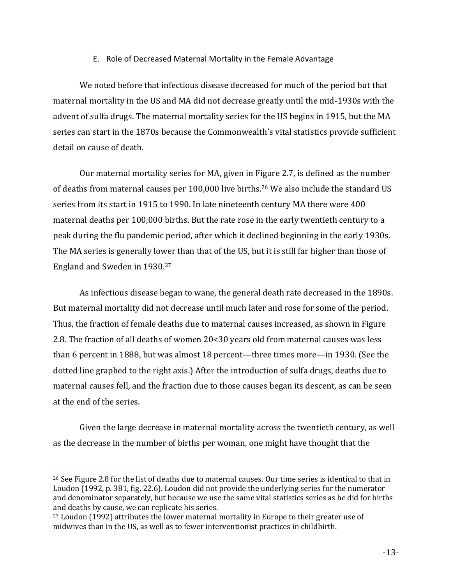### E. Role of Decreased Maternal Mortality in the Female Advantage

We noted before that infectious disease decreased for much of the period but that maternal mortality in the US and MA did not decrease greatly until the mid-1930s with the advent of sulfa drugs. The maternal mortality series for the US begins in 1915, but the MA series can start in the 1870s because the Commonwealth's vital statistics provide sufficient detail on cause of death.

Our maternal mortality series for MA, given in Figure 2.7, is defined as the number of deaths from maternal causes per 100,000 live births. <sup>26</sup> We also include the standard US series from its start in 1915 to 1990. In late nineteenth century MA there were 400 maternal deaths per 100,000 births. But the rate rose in the early twentieth century to a peak during the flu pandemic period, after which it declined beginning in the early 1930s. The MA series is generally lower than that of the US, but it is still far higher than those of England and Sweden in 1930. 27

As infectious disease began to wane, the general death rate decreased in the 1890s. But maternal mortality did not decrease until much later and rose for some of the period. Thus, the fraction of female deaths due to maternal causes increased, as shown in Figure 2.8. The fraction of all deaths of women 20<30 years old from maternal causes was less than 6 percent in 1888, but was almost 18 percent—three times more—in 1930. (See the dotted line graphed to the right axis.) After the introduction of sulfa drugs, deaths due to maternal causes fell, and the fraction due to those causes began its descent, as can be seen at the end of the series.

Given the large decrease in maternal mortality across the twentieth century, as well as the decrease in the number of births per woman, one might have thought that the

<sup>&</sup>lt;sup>26</sup> See Figure 2.8 for the list of deaths due to maternal causes. Our time series is identical to that in Loudon (1992, p. 381, fig. 22.6). Loudon did not provide the underlying series for the numerator and denominator separately, but because we use the same vital statistics series as he did for births and deaths by cause, we can replicate his series.

<sup>27</sup> Loudon (1992) attributes the lower maternal mortality in Europe to their greater use of midwives than in the US, as well as to fewer interventionist practices in childbirth.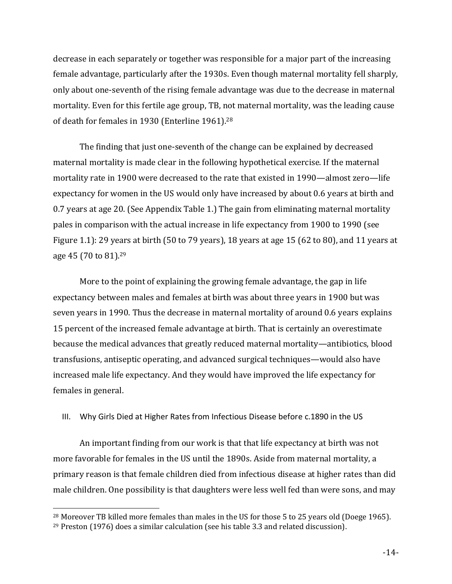decrease in each separately or together was responsible for a major part of the increasing female advantage, particularly after the 1930s. Even though maternal mortality fell sharply, only about one-seventh of the rising female advantage was due to the decrease in maternal mortality. Even for this fertile age group, TB, not maternal mortality, was the leading cause of death for females in 1930 (Enterline 1961).<sup>28</sup>

The finding that just one-seventh of the change can be explained by decreased maternal mortality is made clear in the following hypothetical exercise. If the maternal mortality rate in 1900 were decreased to the rate that existed in 1990—almost zero—life expectancy for women in the US would only have increased by about 0.6 years at birth and 0.7 years at age 20. (See Appendix Table 1.) The gain from eliminating maternal mortality pales in comparison with the actual increase in life expectancy from 1900 to 1990 (see Figure 1.1): 29 years at birth (50 to 79 years), 18 years at age 15 (62 to 80), and 11 years at age 45 (70 to 81). 29

More to the point of explaining the growing female advantage, the gap in life expectancy between males and females at birth was about three years in 1900 but was seven years in 1990. Thus the decrease in maternal mortality of around 0.6 years explains 15 percent of the increased female advantage at birth. That is certainly an overestimate because the medical advances that greatly reduced maternal mortality—antibiotics, blood transfusions, antiseptic operating, and advanced surgical techniques—would also have increased male life expectancy. And they would have improved the life expectancy for females in general.

III. Why Girls Died at Higher Rates from Infectious Disease before c.1890 in the US

An important finding from our work is that that life expectancy at birth was not more favorable for females in the US until the 1890s. Aside from maternal mortality, a primary reason is that female children died from infectious disease at higher rates than did male children. One possibility is that daughters were less well fed than were sons, and may

<sup>28</sup> Moreover TB killed more females than males in the US for those 5 to 25 years old (Doege 1965).

<sup>29</sup> Preston (1976) does a similar calculation (see his table 3.3 and related discussion).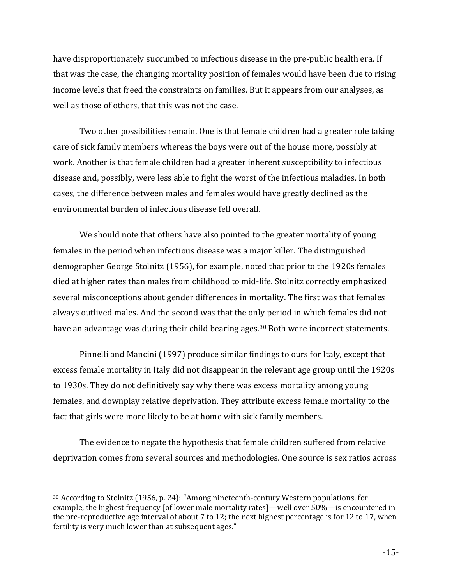have disproportionately succumbed to infectious disease in the pre-public health era. If that was the case, the changing mortality position of females would have been due to rising income levels that freed the constraints on families. But it appears from our analyses, as well as those of others, that this was not the case.

Two other possibilities remain. One is that female children had a greater role taking care of sick family members whereas the boys were out of the house more, possibly at work. Another is that female children had a greater inherent susceptibility to infectious disease and, possibly, were less able to fight the worst of the infectious maladies. In both cases, the difference between males and females would have greatly declined as the environmental burden of infectious disease fell overall.

We should note that others have also pointed to the greater mortality of young females in the period when infectious disease was a major killer. The distinguished demographer George Stolnitz (1956), for example, noted that prior to the 1920s females died at higher rates than males from childhood to mid-life. Stolnitz correctly emphasized several misconceptions about gender differences in mortality. The first was that females always outlived males. And the second was that the only period in which females did not have an advantage was during their child bearing ages.<sup>30</sup> Both were incorrect statements.

Pinnelli and Mancini (1997) produce similar findings to ours for Italy, except that excess female mortality in Italy did not disappear in the relevant age group until the 1920s to 1930s. They do not definitively say why there was excess mortality among young females, and downplay relative deprivation. They attribute excess female mortality to the fact that girls were more likely to be at home with sick family members.

The evidence to negate the hypothesis that female children suffered from relative deprivation comes from several sources and methodologies. One source is sex ratios across

<sup>30</sup> According to Stolnitz (1956, p. 24): "Among nineteenth-century Western populations, for example, the highest frequency [of lower male mortality rates]—well over 50%—is encountered in the pre-reproductive age interval of about 7 to 12; the next highest percentage is for 12 to 17, when fertility is very much lower than at subsequent ages."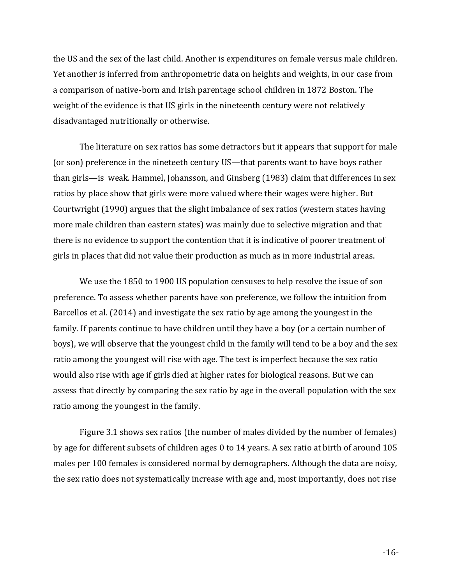the US and the sex of the last child. Another is expenditures on female versus male children. Yet another is inferred from anthropometric data on heights and weights, in our case from a comparison of native-born and Irish parentage school children in 1872 Boston. The weight of the evidence is that US girls in the nineteenth century were not relatively disadvantaged nutritionally or otherwise.

The literature on sex ratios has some detractors but it appears that support for male (or son) preference in the nineteeth century US—that parents want to have boys rather than girls—is weak. Hammel, Johansson, and Ginsberg (1983) claim that differences in sex ratios by place show that girls were more valued where their wages were higher. But Courtwright (1990) argues that the slight imbalance of sex ratios (western states having more male children than eastern states) was mainly due to selective migration and that there is no evidence to support the contention that it is indicative of poorer treatment of girls in places that did not value their production as much as in more industrial areas.

We use the 1850 to 1900 US population censuses to help resolve the issue of son preference. To assess whether parents have son preference, we follow the intuition from Barcellos et al. (2014) and investigate the sex ratio by age among the youngest in the family. If parents continue to have children until they have a boy (or a certain number of boys), we will observe that the youngest child in the family will tend to be a boy and the sex ratio among the youngest will rise with age. The test is imperfect because the sex ratio would also rise with age if girls died at higher rates for biological reasons. But we can assess that directly by comparing the sex ratio by age in the overall population with the sex ratio among the youngest in the family.

Figure 3.1 shows sex ratios (the number of males divided by the number of females) by age for different subsets of children ages 0 to 14 years. A sex ratio at birth of around 105 males per 100 females is considered normal by demographers. Although the data are noisy, the sex ratio does not systematically increase with age and, most importantly, does not rise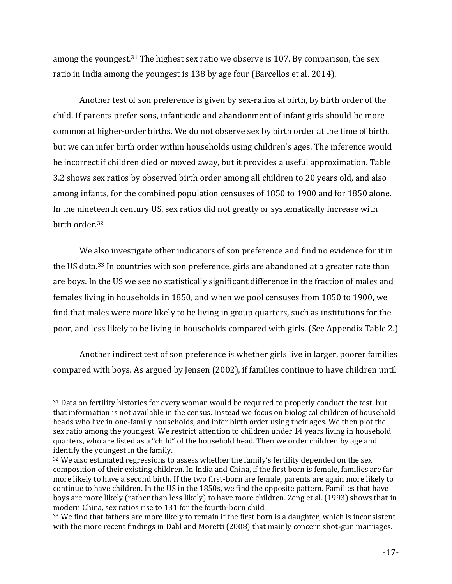among the youngest.<sup>31</sup> The highest sex ratio we observe is 107. By comparison, the sex ratio in India among the youngest is 138 by age four (Barcellos et al. 2014).

Another test of son preference is given by sex-ratios at birth, by birth order of the child. If parents prefer sons, infanticide and abandonment of infant girls should be more common at higher-order births. We do not observe sex by birth order at the time of birth, but we can infer birth order within households using children's ages. The inference would be incorrect if children died or moved away, but it provides a useful approximation. Table 3.2 shows sex ratios by observed birth order among all children to 20 years old, and also among infants, for the combined population censuses of 1850 to 1900 and for 1850 alone. In the nineteenth century US, sex ratios did not greatly or systematically increase with birth order. 32

We also investigate other indicators of son preference and find no evidence for it in the US data.<sup>33</sup> In countries with son preference, girls are abandoned at a greater rate than are boys. In the US we see no statistically significant difference in the fraction of males and females living in households in 1850, and when we pool censuses from 1850 to 1900, we find that males were more likely to be living in group quarters, such as institutions for the poor, and less likely to be living in households compared with girls. (See Appendix Table 2.)

Another indirect test of son preference is whether girls live in larger, poorer families compared with boys. As argued by Jensen (2002), if families continue to have children until

 $\overline{a}$ <sup>31</sup> Data on fertility histories for every woman would be required to properly conduct the test, but that information is not available in the census. Instead we focus on biological children of household heads who live in one-family households, and infer birth order using their ages. We then plot the sex ratio among the youngest. We restrict attention to children under 14 years living in household quarters, who are listed as a "child" of the household head. Then we order children by age and identify the youngest in the family.

<sup>&</sup>lt;sup>32</sup> We also estimated regressions to assess whether the family's fertility depended on the sex composition of their existing children. In India and China, if the first born is female, families are far more likely to have a second birth. If the two first-born are female, parents are again more likely to continue to have children. In the US in the 1850s, we find the opposite pattern. Families that have boys are more likely (rather than less likely) to have more children. Zeng et al. (1993) shows that in modern China, sex ratios rise to 131 for the fourth-born child.

<sup>&</sup>lt;sup>33</sup> We find that fathers are more likely to remain if the first born is a daughter, which is inconsistent with the more recent findings in Dahl and Moretti (2008) that mainly concern shot-gun marriages.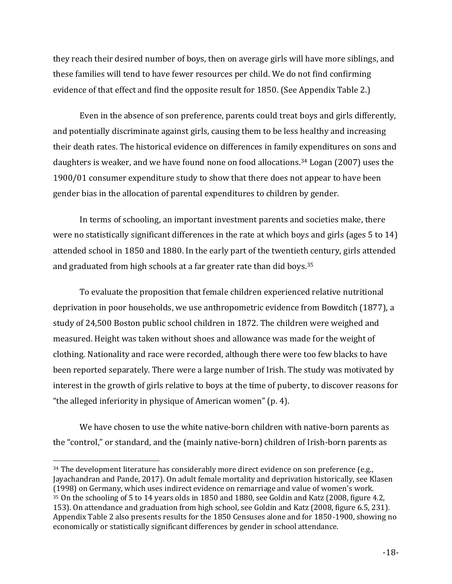they reach their desired number of boys, then on average girls will have more siblings, and these families will tend to have fewer resources per child. We do not find confirming evidence of that effect and find the opposite result for 1850. (See Appendix Table 2.)

Even in the absence of son preference, parents could treat boys and girls differently, and potentially discriminate against girls, causing them to be less healthy and increasing their death rates. The historical evidence on differences in family expenditures on sons and daughters is weaker, and we have found none on food allocations.<sup>34</sup> Logan (2007) uses the 1900/01 consumer expenditure study to show that there does not appear to have been gender bias in the allocation of parental expenditures to children by gender.

In terms of schooling, an important investment parents and societies make, there were no statistically significant differences in the rate at which boys and girls (ages 5 to 14) attended school in 1850 and 1880. In the early part of the twentieth century, girls attended and graduated from high schools at a far greater rate than did boys. 35

To evaluate the proposition that female children experienced relative nutritional deprivation in poor households, we use anthropometric evidence from Bowditch (1877), a study of 24,500 Boston public school children in 1872. The children were weighed and measured. Height was taken without shoes and allowance was made for the weight of clothing. Nationality and race were recorded, although there were too few blacks to have been reported separately. There were a large number of Irish. The study was motivated by interest in the growth of girls relative to boys at the time of puberty, to discover reasons for "the alleged inferiority in physique of American women" (p. 4).

We have chosen to use the white native-born children with native-born parents as the "control," or standard, and the (mainly native-born) children of Irish-born parents as

<sup>&</sup>lt;sup>34</sup> The development literature has considerably more direct evidence on son preference (e.g., Jayachandran and Pande, 2017). On adult female mortality and deprivation historically, see Klasen (1998) on Germany, which uses indirect evidence on remarriage and value of women's work. <sup>35</sup> On the schooling of 5 to 14 years olds in 1850 and 1880, see Goldin and Katz (2008, figure 4.2, 153). On attendance and graduation from high school, see Goldin and Katz (2008, figure 6.5, 231). Appendix Table 2 also presents results for the 1850 Censuses alone and for 1850-1900, showing no economically or statistically significant differences by gender in school attendance.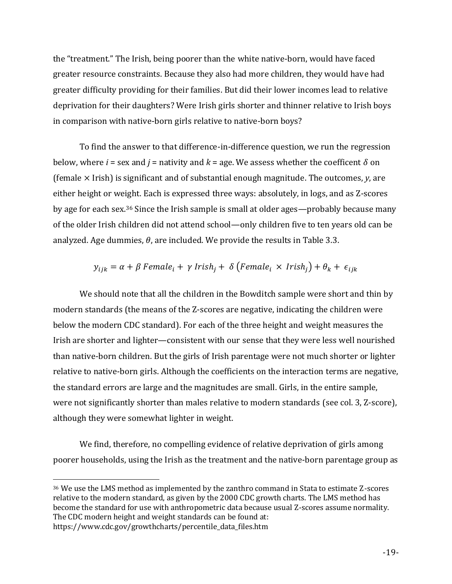the "treatment." The Irish, being poorer than the white native-born, would have faced greater resource constraints. Because they also had more children, they would have had greater difficulty providing for their families. But did their lower incomes lead to relative deprivation for their daughters? Were Irish girls shorter and thinner relative to Irish boys in comparison with native-born girls relative to native-born boys?

To find the answer to that difference-in-difference question, we run the regression below, where *i* = sex and *j* = nativity and  $k$  = age. We assess whether the coefficent  $\delta$  on (female × Irish) is significant and of substantial enough magnitude. The outcomes, *y*, are either height or weight. Each is expressed three ways: absolutely, in logs, and as Z-scores by age for each sex. <sup>36</sup> Since the Irish sample is small at older ages—probably because many of the older Irish children did not attend school—only children five to ten years old can be analyzed. Age dummies,  $\theta$ , are included. We provide the results in Table 3.3.

$$
y_{ijk} = \alpha + \beta
$$
 Female<sub>i</sub> +  $\gamma$  Irish<sub>j</sub> +  $\delta$  (Female<sub>i</sub> × Irish<sub>j</sub>) +  $\theta_k$  +  $\epsilon_{ijk}$ 

We should note that all the children in the Bowditch sample were short and thin by modern standards (the means of the Z-scores are negative, indicating the children were below the modern CDC standard). For each of the three height and weight measures the Irish are shorter and lighter—consistent with our sense that they were less well nourished than native-born children. But the girls of Irish parentage were not much shorter or lighter relative to native-born girls. Although the coefficients on the interaction terms are negative, the standard errors are large and the magnitudes are small. Girls, in the entire sample, were not significantly shorter than males relative to modern standards (see col. 3, Z-score), although they were somewhat lighter in weight.

We find, therefore, no compelling evidence of relative deprivation of girls among poorer households, using the Irish as the treatment and the native-born parentage group as

<sup>36</sup> We use the LMS method as implemented by the zanthro command in Stata to estimate Z-scores relative to the modern standard, as given by the 2000 CDC growth charts. The LMS method has become the standard for use with anthropometric data because usual Z-scores assume normality. The CDC modern height and weight standards can be found at:

https://www.cdc.gov/growthcharts/percentile\_data\_files.htm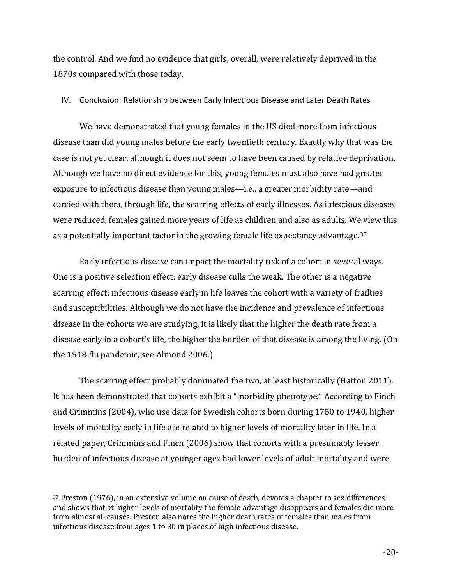the control. And we find no evidence that girls, overall, were relatively deprived in the 1870s compared with those today.

### IV. Conclusion: Relationship between Early Infectious Disease and Later Death Rates

We have demonstrated that young females in the US died more from infectious disease than did young males before the early twentieth century. Exactly why that was the case is not yet clear, although it does not seem to have been caused by relative deprivation. Although we have no direct evidence for this, young females must also have had greater exposure to infectious disease than young males—i.e., a greater morbidity rate—and carried with them, through life, the scarring effects of early illnesses. As infectious diseases were reduced, females gained more years of life as children and also as adults. We view this as a potentially important factor in the growing female life expectancy advantage.<sup>37</sup>

Early infectious disease can impact the mortality risk of a cohort in several ways. One is a positive selection effect: early disease culls the weak. The other is a negative scarring effect: infectious disease early in life leaves the cohort with a variety of frailties and susceptibilities. Although we do not have the incidence and prevalence of infectious disease in the cohorts we are studying, it is likely that the higher the death rate from a disease early in a cohort's life, the higher the burden of that disease is among the living. (On the 1918 flu pandemic, see Almond 2006.)

The scarring effect probably dominated the two, at least historically (Hatton 2011). It has been demonstrated that cohorts exhibit a "morbidity phenotype." According to Finch and Crimmins (2004), who use data for Swedish cohorts born during 1750 to 1940, higher levels of mortality early in life are related to higher levels of mortality later in life. In a related paper, Crimmins and Finch (2006) show that cohorts with a presumably lesser burden of infectious disease at younger ages had lower levels of adult mortality and were

<sup>37</sup> Preston (1976), in an extensive volume on cause of death, devotes a chapter to sex differences and shows that at higher levels of mortality the female advantage disappears and females die more from almost all causes. Preston also notes the higher death rates of females than males from infectious disease from ages 1 to 30 in places of high infectious disease.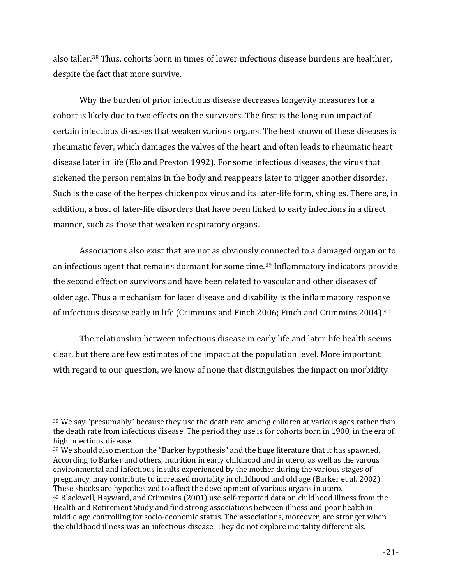also taller.<sup>38</sup> Thus, cohorts born in times of lower infectious disease burdens are healthier, despite the fact that more survive.

Why the burden of prior infectious disease decreases longevity measures for a cohort is likely due to two effects on the survivors. The first is the long-run impact of certain infectious diseases that weaken various organs. The best known of these diseases is rheumatic fever, which damages the valves of the heart and often leads to rheumatic heart disease later in life (Elo and Preston 1992). For some infectious diseases, the virus that sickened the person remains in the body and reappears later to trigger another disorder. Such is the case of the herpes chickenpox virus and its later-life form, shingles. There are, in addition, a host of later-life disorders that have been linked to early infections in a direct manner, such as those that weaken respiratory organs.

Associations also exist that are not as obviously connected to a damaged organ or to an infectious agent that remains dormant for some time. <sup>39</sup> Inflammatory indicators provide the second effect on survivors and have been related to vascular and other diseases of older age. Thus a mechanism for later disease and disability is the inflammatory response of infectious disease early in life (Crimmins and Finch 2006; Finch and Crimmins 2004). 40

The relationship between infectious disease in early life and later-life health seems clear, but there are few estimates of the impact at the population level. More important with regard to our question, we know of none that distinguishes the impact on morbidity

<sup>&</sup>lt;sup>38</sup> We say "presumably" because they use the death rate among children at various ages rather than the death rate from infectious disease. The period they use is for cohorts born in 1900, in the era of high infectious disease.

<sup>39</sup> We should also mention the "Barker hypothesis" and the huge literature that it has spawned. According to Barker and others, nutrition in early childhood and in utero, as well as the varous environmental and infectious insults experienced by the mother during the various stages of pregnancy, may contribute to increased mortality in childhood and old age (Barker et al. 2002). These shocks are hypothesized to affect the development of various organs in utero.

<sup>40</sup> Blackwell, Hayward, and Crimmins (2001) use self-reported data on childhood illness from the Health and Retirement Study and find strong associations between illness and poor health in middle age controlling for socio-economic status. The associations, moreover, are stronger when the childhood illness was an infectious disease. They do not explore mortality differentials.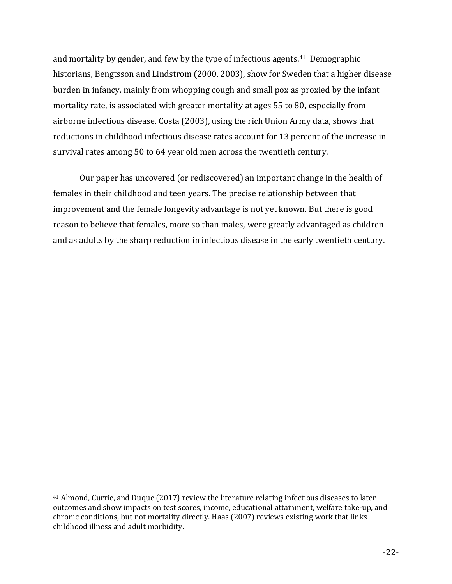and mortality by gender, and few by the type of infectious agents.41 Demographic historians, Bengtsson and Lindstrom (2000, 2003), show for Sweden that a higher disease burden in infancy, mainly from whopping cough and small pox as proxied by the infant mortality rate, is associated with greater mortality at ages 55 to 80, especially from airborne infectious disease. Costa (2003), using the rich Union Army data, shows that reductions in childhood infectious disease rates account for 13 percent of the increase in survival rates among 50 to 64 year old men across the twentieth century.

Our paper has uncovered (or rediscovered) an important change in the health of females in their childhood and teen years. The precise relationship between that improvement and the female longevity advantage is not yet known. But there is good reason to believe that females, more so than males, were greatly advantaged as children and as adults by the sharp reduction in infectious disease in the early twentieth century.

<sup>41</sup> Almond, Currie, and Duque (2017) review the literature relating infectious diseases to later outcomes and show impacts on test scores, income, educational attainment, welfare take-up, and chronic conditions, but not mortality directly. Haas (2007) reviews existing work that links childhood illness and adult morbidity.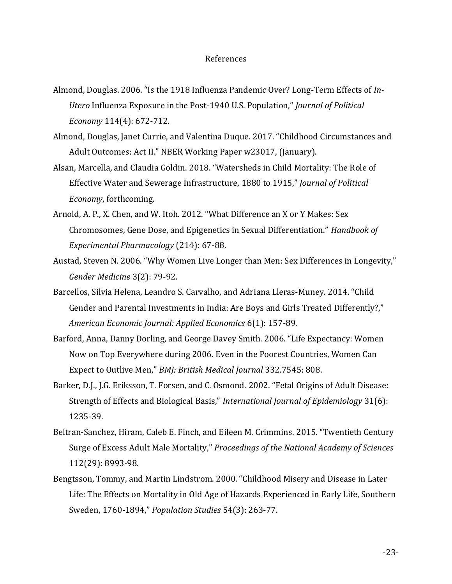#### References

- Almond, Douglas. 2006. "Is the 1918 Influenza Pandemic Over? Long-Term Effects of *In-Utero* Influenza Exposure in the Post-1940 U.S. Population," *Journal of Political Economy* 114(4): 672-712.
- Almond, Douglas, Janet Currie, and Valentina Duque. 2017. "Childhood Circumstances and Adult Outcomes: Act II." NBER Working Paper w23017, (January).
- Alsan, Marcella, and Claudia Goldin. 2018. "Watersheds in Child Mortality: The Role of Effective Water and Sewerage Infrastructure, 1880 to 1915," *Journal of Political Economy*, forthcoming.
- Arnold, A. P., X. Chen, and W. Itoh. 2012. "What Difference an X or Y Makes: Sex Chromosomes, Gene Dose, and Epigenetics in Sexual Differentiation." *Handbook of Experimental Pharmacology* (214): 67-88.
- Austad, Steven N. 2006. "Why Women Live Longer than Men: Sex Differences in Longevity," *Gender Medicine* 3(2): 79-92.
- Barcellos, Silvia Helena, Leandro S. Carvalho, and Adriana Lleras-Muney. 2014. "Child Gender and Parental Investments in India: Are Boys and Girls Treated Differently?," *American Economic Journal: Applied Economics* 6(1): 157-89.
- Barford, Anna, Danny Dorling, and George Davey Smith. 2006. "Life Expectancy: Women Now on Top Everywhere during 2006. Even in the Poorest Countries, Women Can Expect to Outlive Men," *BMJ: British Medical Journal* 332.7545: 808.
- Barker, D.J., J.G. Eriksson, T. Forsen, and C. Osmond. 2002. "Fetal Origins of Adult Disease: Strength of Effects and Biological Basis," *International Journal of Epidemiology* 31(6): 1235-39.
- Beltran-Sanchez, Hiram, Caleb E. Finch, and Eileen M. Crimmins. 2015. "Twentieth Century Surge of Excess Adult Male Mortality," *Proceedings of the National Academy of Sciences* 112(29): 8993-98.
- Bengtsson, Tommy, and Martin Lindstrom. 2000. "Childhood Misery and Disease in Later Life: The Effects on Mortality in Old Age of Hazards Experienced in Early Life, Southern Sweden, 1760-1894," *Population Studies* 54(3): 263-77.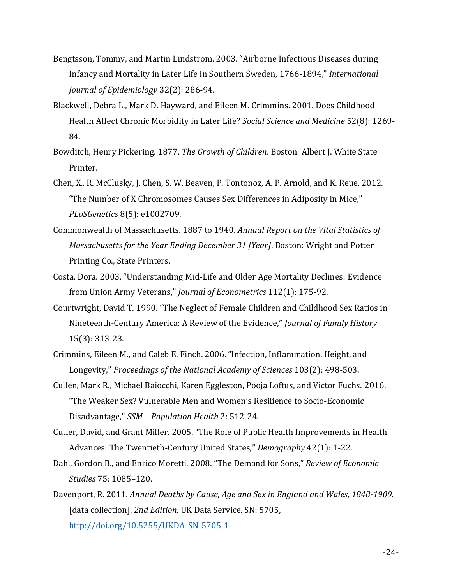- Bengtsson, Tommy, and Martin Lindstrom. 2003. "Airborne Infectious Diseases during Infancy and Mortality in Later Life in Southern Sweden, 1766-1894," *International Journal of Epidemiology* 32(2): 286-94.
- Blackwell, Debra L., Mark D. Hayward, and Eileen M. Crimmins. 2001. Does Childhood Health Affect Chronic Morbidity in Later Life? *Social Science and Medicine* 52(8): 1269- 84.
- Bowditch, Henry Pickering. 1877. *The Growth of Children*. Boston: Albert J. White State Printer.
- Chen, X., R. McClusky, J. Chen, S. W. Beaven, P. Tontonoz, A. P. Arnold, and K. Reue. 2012. "The Number of X Chromosomes Causes Sex Differences in Adiposity in Mice," *PLoSGenetics* 8(5): e1002709.
- Commonwealth of Massachusetts. 1887 to 1940. *Annual Report on the Vital Statistics of Massachusetts for the Year Ending December 31 [Year]*. Boston: Wright and Potter Printing Co., State Printers.
- Costa, Dora. 2003. "Understanding Mid-Life and Older Age Mortality Declines: Evidence from Union Army Veterans," *Journal of Econometrics* 112(1): 175-92.
- Courtwright, David T. 1990. "The Neglect of Female Children and Childhood Sex Ratios in Nineteenth-Century America: A Review of the Evidence," *Journal of Family History* 15(3): 313-23.
- Crimmins, Eileen M., and Caleb E. Finch. 2006. "Infection, Inflammation, Height, and Longevity," *Proceedings of the National Academy of Sciences* 103(2): 498-503.
- Cullen, Mark R., Michael Baiocchi, Karen Eggleston, Pooja Loftus, and Victor Fuchs. 2016. "The Weaker Sex? Vulnerable Men and Women's Resilience to Socio-Economic Disadvantage," *SSM – Population Health* 2: 512-24.
- Cutler, David, and Grant Miller. 2005. "The Role of Public Health Improvements in Health Advances: The Twentieth-Century United States," *Demography* 42(1): 1-22.
- Dahl, Gordon B., and Enrico Moretti. 2008. "The Demand for Sons," *Review of Economic Studies* 75: 1085–120.
- Davenport, R. 2011. *Annual Deaths by Cause, Age and Sex in England and Wales, 1848-1900*. [data collection]. *2nd Edition.* UK Data Service. SN: 5705, <http://doi.org/10.5255/UKDA-SN-5705-1>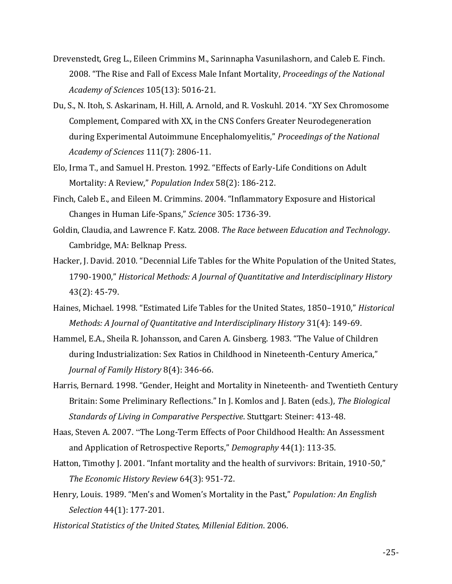- Drevenstedt, Greg L., Eileen Crimmins M., Sarinnapha Vasunilashorn, and Caleb E. Finch. 2008. "The Rise and Fall of Excess Male Infant Mortality, *Proceedings of the National Academy of Sciences* 105(13): 5016-21.
- Du, S., N. Itoh, S. Askarinam, H. Hill, A. Arnold, and R. Voskuhl. 2014. "XY Sex Chromosome Complement, Compared with XX, in the CNS Confers Greater Neurodegeneration during Experimental Autoimmune Encephalomyelitis," *Proceedings of the National Academy of Sciences* 111(7): 2806-11.
- Elo, Irma T., and Samuel H. Preston. 1992. "Effects of Early-Life Conditions on Adult Mortality: A Review," *Population Index* 58(2): 186-212.
- Finch, Caleb E., and Eileen M. Crimmins. 2004. "Inflammatory Exposure and Historical Changes in Human Life-Spans," *Science* 305: 1736-39.
- Goldin, Claudia, and Lawrence F. Katz. 2008. *The Race between Education and Technology*. Cambridge, MA: Belknap Press.
- Hacker, J. David. 2010. "Decennial Life Tables for the White Population of the United States, 1790-1900," *Historical Methods: A Journal of Quantitative and Interdisciplinary History* 43(2): 45-79.
- Haines, Michael. 1998. "Estimated Life Tables for the United States, 1850–1910," *Historical Methods: A Journal of Quantitative and Interdisciplinary History* 31(4): 149-69.
- Hammel, E.A., Sheila R. Johansson, and Caren A. Ginsberg. 1983. "The Value of Children during Industrialization: Sex Ratios in Childhood in Nineteenth-Century America," *Journal of Family History* 8(4): 346-66.
- Harris, Bernard. 1998. "Gender, Height and Mortality in Nineteenth- and Twentieth Century Britain: Some Preliminary Reflections." In J. Komlos and J. Baten (eds.), *The Biological Standards of Living in Comparative Perspective*. Stuttgart: Steiner: 413-48.
- Haas, Steven A. 2007. "The Long-Term Effects of Poor Childhood Health: An Assessment and Application of Retrospective Reports," *Demography* 44(1): 113-35.
- Hatton, Timothy J. 2001. "Infant mortality and the health of survivors: Britain, 1910-50," *The Economic History Review* 64(3): 951-72.
- Henry, Louis. 1989. "Men's and Women's Mortality in the Past," *Population: An English Selection* 44(1): 177-201.

*Historical Statistics of the United States, Millenial Edition*. 2006.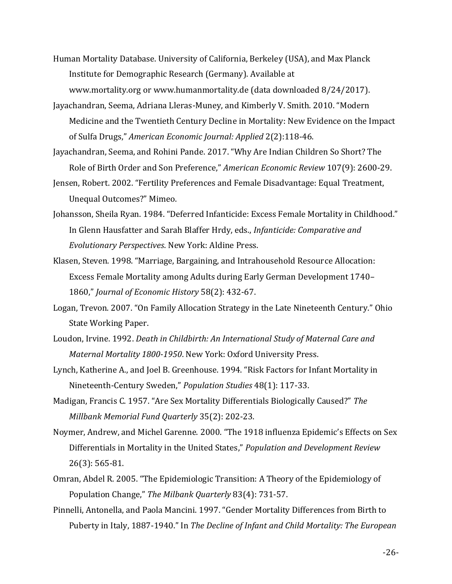- Human Mortality Database. University of California, Berkeley (USA), and Max Planck Institute for Demographic Research (Germany). Available at www.mortality.org or www.humanmortality.de (data downloaded 8/24/2017).
- Jayachandran, Seema, Adriana Lleras-Muney, and Kimberly V. Smith. 2010. "Modern Medicine and the Twentieth Century Decline in Mortality: New Evidence on the Impact of Sulfa Drugs," *American Economic Journal: Applied* 2(2):118-46.
- Jayachandran, Seema, and Rohini Pande. 2017. "Why Are Indian Children So Short? The Role of Birth Order and Son Preference," *American Economic Review* 107(9): 2600-29.
- Jensen, Robert. 2002. "Fertility Preferences and Female Disadvantage: Equal Treatment, Unequal Outcomes?" Mimeo.
- Johansson, Sheila Ryan. 1984. "Deferred Infanticide: Excess Female Mortality in Childhood." In Glenn Hausfatter and Sarah Blaffer Hrdy, eds., *Infanticide: Comparative and Evolutionary Perspectives*. New York: Aldine Press.
- Klasen, Steven. 1998. "Marriage, Bargaining, and Intrahousehold Resource Allocation: Excess Female Mortality among Adults during Early German Development 1740– 1860," *Journal of Economic History* 58(2): 432-67.
- Logan, Trevon. 2007. "On Family Allocation Strategy in the Late Nineteenth Century." Ohio State Working Paper.
- Loudon, Irvine. 1992. *Death in Childbirth: An International Study of Maternal Care and Maternal Mortality 1800-1950*. New York: Oxford University Press.
- Lynch, Katherine A., and Joel B. Greenhouse. 1994. "Risk Factors for Infant Mortality in Nineteenth-Century Sweden," *Population Studies* 48(1): 117-33.
- Madigan, Francis C. 1957. "Are Sex Mortality Differentials Biologically Caused?" *The Millbank Memorial Fund Quarterly* 35(2): 202-23.
- Noymer, Andrew, and Michel Garenne. 2000. "The 1918 influenza Epidemic's Effects on Sex Differentials in Mortality in the United States," *Population and Development Review* 26(3): 565-81.
- Omran, Abdel R. 2005. "The Epidemiologic Transition: A Theory of the Epidemiology of Population Change," *The Milbank Quarterly* 83(4): 731-57.
- Pinnelli, Antonella, and Paola Mancini. 1997. "Gender Mortality Differences from Birth to Puberty in Italy, 1887-1940." In *The Decline of Infant and Child Mortality: The European*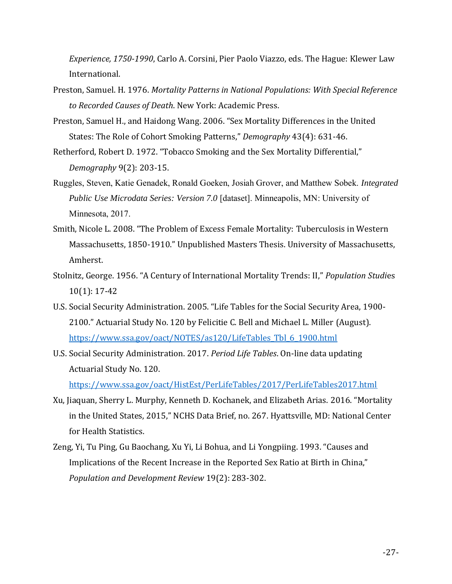*Experience, 1750-1990*, Carlo A. Corsini, Pier Paolo Viazzo, eds. The Hague: Klewer Law International.

- Preston, Samuel. H. 1976. *Mortality Patterns in National Populations: With Special Reference to Recorded Causes of Death*. New York: Academic Press.
- Preston, Samuel H., and Haidong Wang. 2006. "Sex Mortality Differences in the United States: The Role of Cohort Smoking Patterns," *Demography* 43(4): 631-46.
- Retherford, Robert D. 1972. "Tobacco Smoking and the Sex Mortality Differential," *Demography* 9(2): 203-15.
- Ruggles, Steven, Katie Genadek, Ronald Goeken, Josiah Grover, and Matthew Sobek. *Integrated Public Use Microdata Series: Version 7.0* [dataset]. Minneapolis, MN: University of Minnesota, 2017.
- Smith, Nicole L. 2008. "The Problem of Excess Female Mortality: Tuberculosis in Western Massachusetts, 1850-1910." Unpublished Masters Thesis. University of Massachusetts, Amherst.
- Stolnitz, George. 1956. "A Century of International Mortality Trends: II," *Population Studi*es 10(1): 17-42
- U.S. Social Security Administration. 2005. "Life Tables for the Social Security Area, 1900- 2100." Actuarial Study No. 120 by Felicitie C. Bell and Michael L. Miller (August). [https://www.ssa.gov/oact/NOTES/as120/LifeTables\\_Tbl\\_6\\_1900.html](https://www.ssa.gov/oact/NOTES/as120/LifeTables_Tbl_6_1900.html)
- U.S. Social Security Administration. 2017. *Period Life Tables*. On-line data updating Actuarial Study No. 120.

<https://www.ssa.gov/oact/HistEst/PerLifeTables/2017/PerLifeTables2017.html>

- Xu, Jiaquan, Sherry L. Murphy, Kenneth D. Kochanek, and Elizabeth Arias. 2016. "Mortality in the United States, 2015," NCHS Data Brief, no. 267. Hyattsville, MD: National Center for Health Statistics.
- Zeng, Yi, Tu Ping, Gu Baochang, Xu Yi, Li Bohua, and Li Yongpiing. 1993. "Causes and Implications of the Recent Increase in the Reported Sex Ratio at Birth in China," *Population and Development Review* 19(2): 283-302.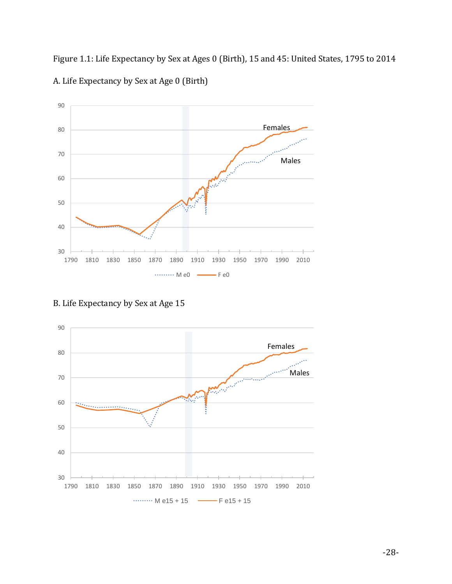Figure 1.1: Life Expectancy by Sex at Ages 0 (Birth), 15 and 45: United States, 1795 to 2014 A. Life Expectancy by Sex at Age 0 (Birth)



B. Life Expectancy by Sex at Age 15

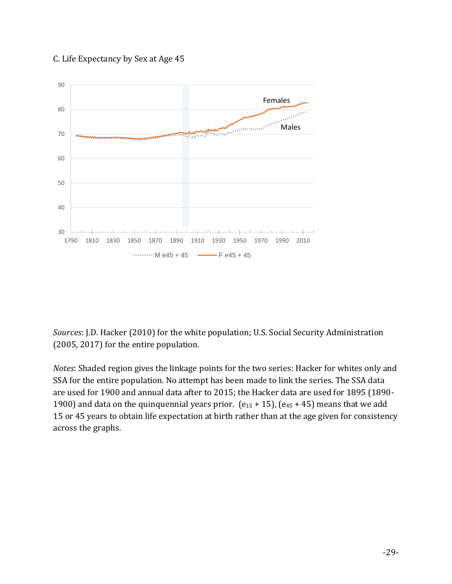## C. Life Expectancy by Sex at Age 45



*Sources*: J.D. Hacker (2010) for the white population; U.S. Social Security Administration (2005, 2017) for the entire population.

*Notes*: Shaded region gives the linkage points for the two series: Hacker for whites only and SSA for the entire population. No attempt has been made to link the series. The SSA data are used for 1900 and annual data after to 2015; the Hacker data are used for 1895 (1890- 1900) and data on the quinquennial years prior.  $(e_{15} + 15)$ ,  $(e_{45} + 45)$  means that we add 15 or 45 years to obtain life expectation at birth rather than at the age given for consistency across the graphs.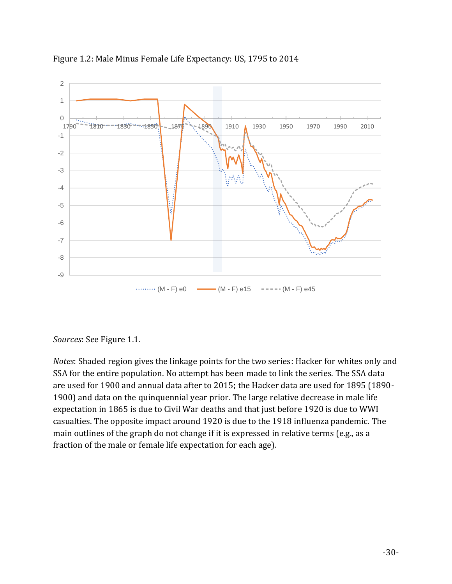

Figure 1.2: Male Minus Female Life Expectancy: US, 1795 to 2014

## *Sources*: See Figure 1.1.

*Notes*: Shaded region gives the linkage points for the two series: Hacker for whites only and SSA for the entire population. No attempt has been made to link the series. The SSA data are used for 1900 and annual data after to 2015; the Hacker data are used for 1895 (1890- 1900) and data on the quinquennial year prior. The large relative decrease in male life expectation in 1865 is due to Civil War deaths and that just before 1920 is due to WWI casualties. The opposite impact around 1920 is due to the 1918 influenza pandemic. The main outlines of the graph do not change if it is expressed in relative terms (e.g., as a fraction of the male or female life expectation for each age).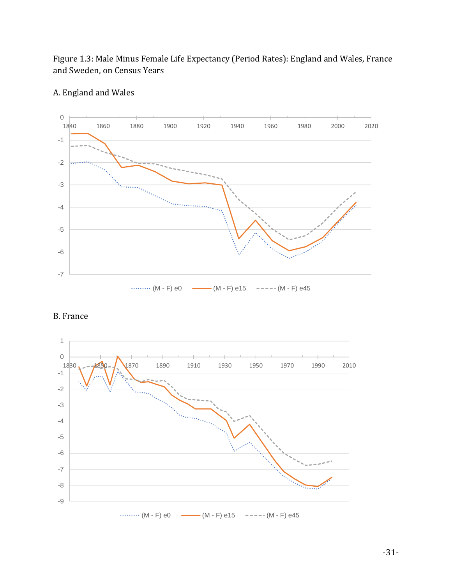Figure 1.3: Male Minus Female Life Expectancy (Period Rates): England and Wales, France and Sweden, on Census Years



# A. England and Wales



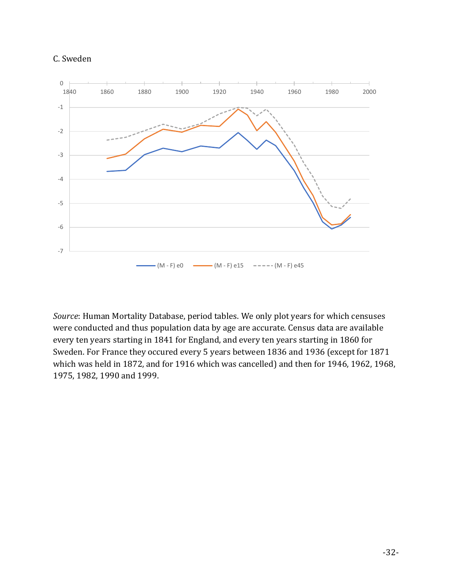



*Source*: Human Mortality Database, period tables. We only plot years for which censuses were conducted and thus population data by age are accurate. Census data are available every ten years starting in 1841 for England, and every ten years starting in 1860 for Sweden. For France they occured every 5 years between 1836 and 1936 (except for 1871 which was held in 1872, and for 1916 which was cancelled) and then for 1946, 1962, 1968, 1975, 1982, 1990 and 1999.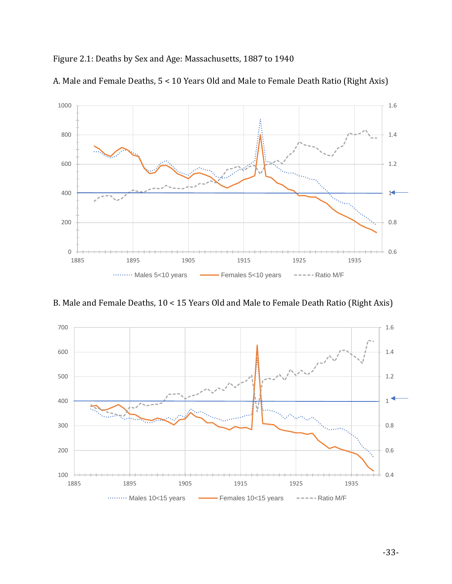## Figure 2.1: Deaths by Sex and Age: Massachusetts, 1887 to 1940



A. Male and Female Deaths, 5 < 10 Years Old and Male to Female Death Ratio (Right Axis)

B. Male and Female Deaths, 10 < 15 Years Old and Male to Female Death Ratio (Right Axis)

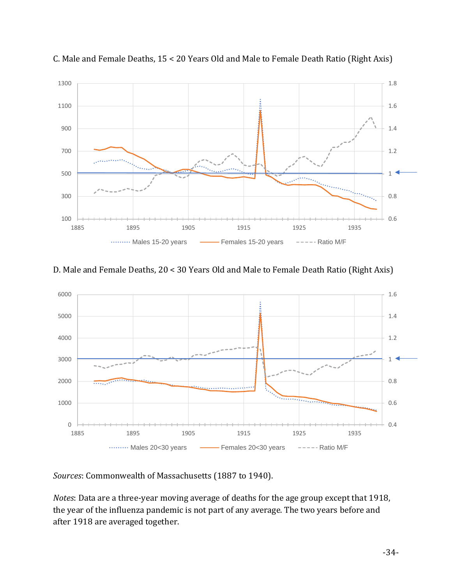

C. Male and Female Deaths, 15 < 20 Years Old and Male to Female Death Ratio (Right Axis)

# D. Male and Female Deaths, 20 < 30 Years Old and Male to Female Death Ratio (Right Axis)



*Sources*: Commonwealth of Massachusetts (1887 to 1940).

*Notes*: Data are a three-year moving average of deaths for the age group except that 1918, the year of the influenza pandemic is not part of any average. The two years before and after 1918 are averaged together.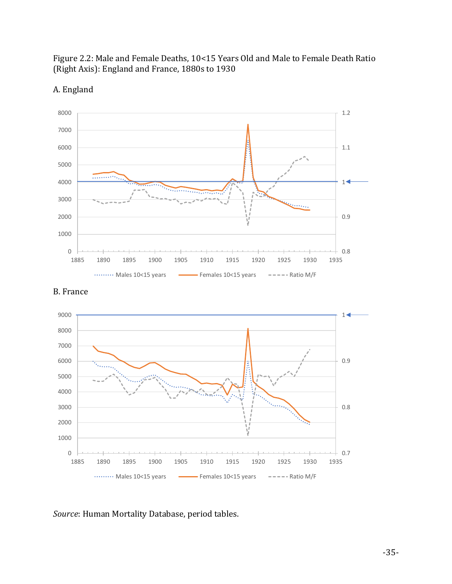

Figure 2.2: Male and Female Deaths, 10<15 Years Old and Male to Female Death Ratio (Right Axis): England and France, 1880s to 1930



0

1000

2000

3000

4000

. . . . . . . . . . .

 $\overline{\phantom{a}}$ 

5000

6000



1885 1890 1895 1900 1905 1910 1915 1920 1925 1930 1935 ......... Males 10<15 years Females 10<15 years ===== Ratio M/F

*Source*: Human Mortality Database, period tables.

0.8

0.9

 $1 +$ 

1.1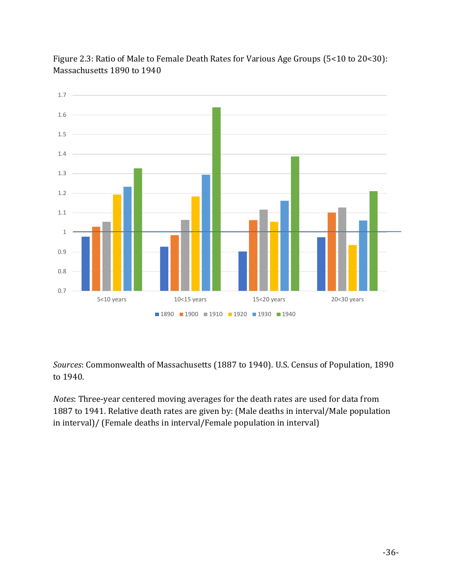

Figure 2.3: Ratio of Male to Female Death Rates for Various Age Groups (5<10 to 20<30): Massachusetts 1890 to 1940

*Sources*: Commonwealth of Massachusetts (1887 to 1940). U.S. Census of Population, 1890 to 1940.

*Notes*: Three-year centered moving averages for the death rates are used for data from 1887 to 1941. Relative death rates are given by: (Male deaths in interval/Male population in interval)/ (Female deaths in interval/Female population in interval)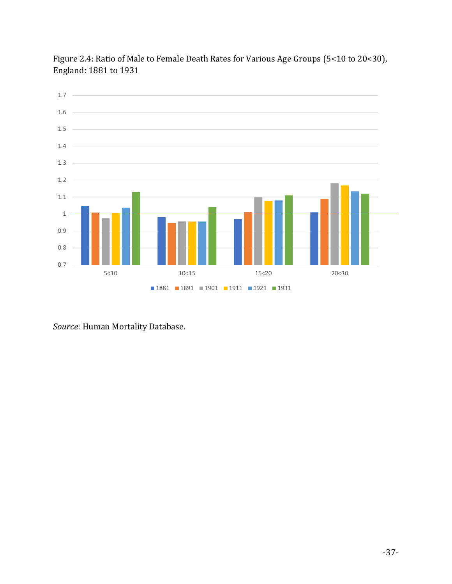

Figure 2.4: Ratio of Male to Female Death Rates for Various Age Groups (5<10 to 20<30), England: 1881 to 1931

*Source*: Human Mortality Database.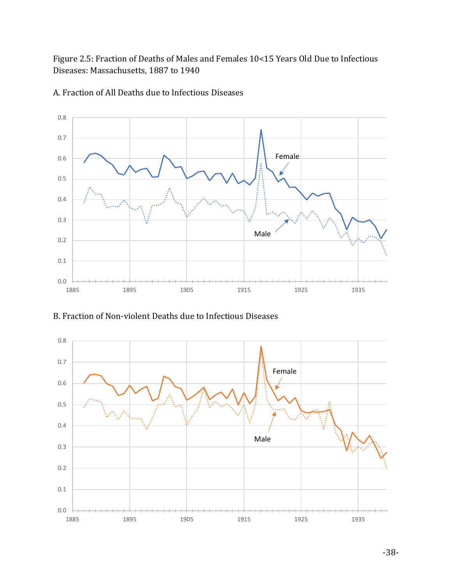Figure 2.5: Fraction of Deaths of Males and Females 10<15 Years Old Due to Infectious Diseases: Massachusetts, 1887 to 1940



A. Fraction of All Deaths due to Infectious Diseases

B. Fraction of Non-violent Deaths due to Infectious Diseases

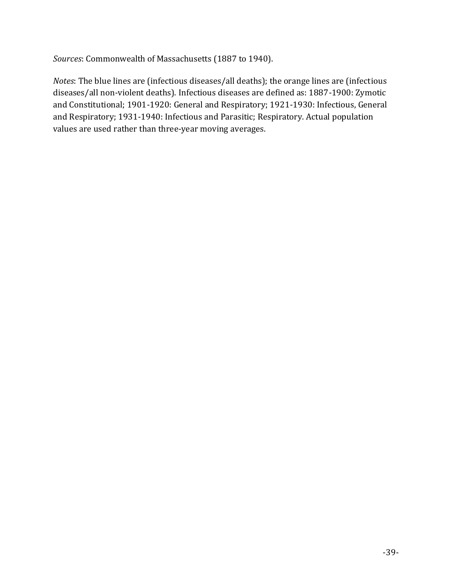*Sources*: Commonwealth of Massachusetts (1887 to 1940).

*Notes*: The blue lines are (infectious diseases/all deaths); the orange lines are (infectious diseases/all non-violent deaths). Infectious diseases are defined as: 1887-1900: Zymotic and Constitutional; 1901-1920: General and Respiratory; 1921-1930: Infectious, General and Respiratory; 1931-1940: Infectious and Parasitic; Respiratory. Actual population values are used rather than three-year moving averages.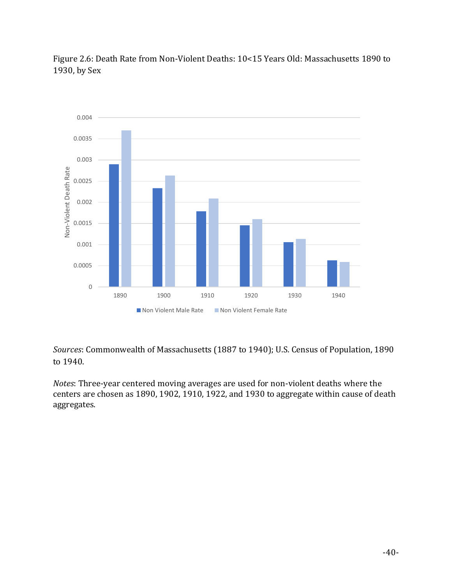Figure 2.6: Death Rate from Non-Violent Deaths: 10<15 Years Old: Massachusetts 1890 to 1930, by Sex



*Sources*: Commonwealth of Massachusetts (1887 to 1940); U.S. Census of Population, 1890 to 1940.

*Notes*: Three-year centered moving averages are used for non-violent deaths where the centers are chosen as 1890, 1902, 1910, 1922, and 1930 to aggregate within cause of death aggregates.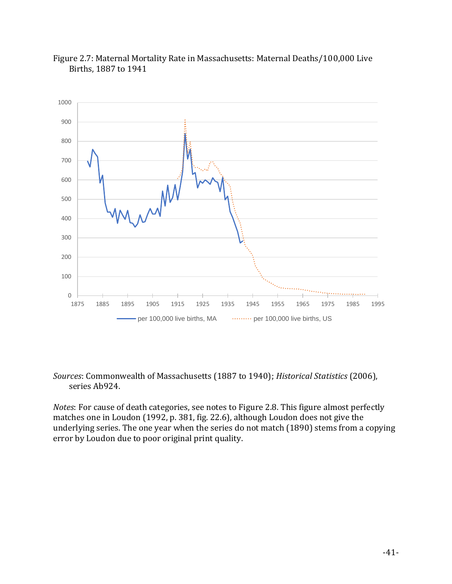



### *Sources*: Commonwealth of Massachusetts (1887 to 1940); *Historical Statistics* (2006), series Ab924.

*Notes*: For cause of death categories, see notes to Figure 2.8. This figure almost perfectly matches one in Loudon (1992, p. 381, fig. 22.6), although Loudon does not give the underlying series. The one year when the series do not match (1890) stems from a copying error by Loudon due to poor original print quality.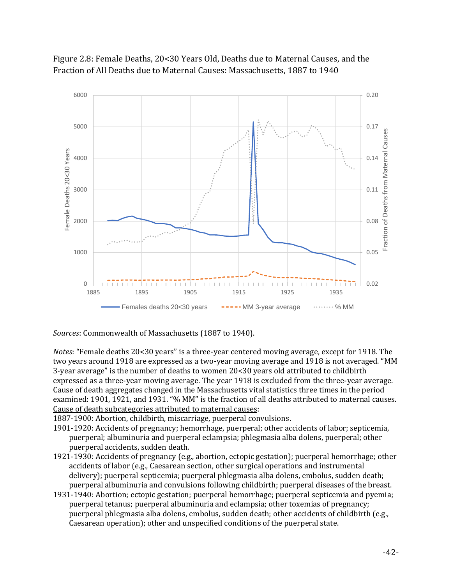

# Figure 2.8: Female Deaths, 20<30 Years Old, Deaths due to Maternal Causes, and the Fraction of All Deaths due to Maternal Causes: Massachusetts, 1887 to 1940

*Sources*: Commonwealth of Massachusetts (1887 to 1940).

*Notes*: "Female deaths 20<30 years" is a three-year centered moving average, except for 1918. The two years around 1918 are expressed as a two-year moving average and 1918 is not averaged. "MM 3-year average" is the number of deaths to women 20<30 years old attributed to childbirth expressed as a three-year moving average. The year 1918 is excluded from the three-year average. Cause of death aggregates changed in the Massachusetts vital statistics three times in the period examined: 1901, 1921, and 1931. "% MM" is the fraction of all deaths attributed to maternal causes. Cause of death subcategories attributed to maternal causes:

1887-1900: Abortion, childbirth, miscarriage, puerperal convulsions.

- 1901-1920: Accidents of pregnancy; hemorrhage, puerperal; other accidents of labor; septicemia, puerperal; albuminuria and puerperal eclampsia; phlegmasia alba dolens, puerperal; other puerperal accidents, sudden death.
- 1921-1930: Accidents of pregnancy (e.g., abortion, ectopic gestation); puerperal hemorrhage; other accidents of labor (e.g., Caesarean section, other surgical operations and instrumental delivery); puerperal septicemia; puerperal phlegmasia alba dolens, embolus, sudden death; puerperal albuminuria and convulsions following childbirth; puerperal diseases of the breast.
- 1931-1940: Abortion; ectopic gestation; puerperal hemorrhage; puerperal septicemia and pyemia; puerperal tetanus; puerperal albuminuria and eclampsia; other toxemias of pregnancy; puerperal phlegmasia alba dolens, embolus, sudden death; other accidents of childbirth (e.g., Caesarean operation); other and unspecified conditions of the puerperal state.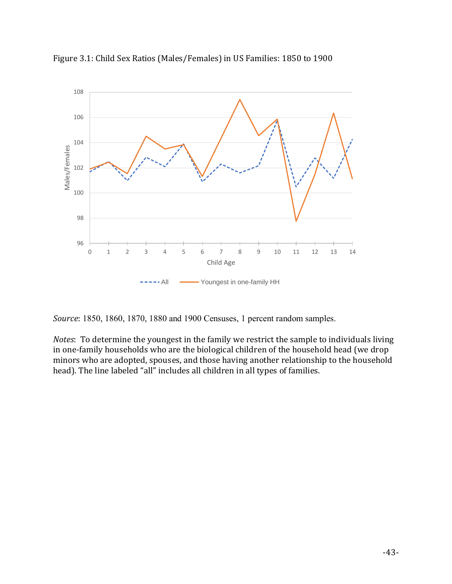

Figure 3.1: Child Sex Ratios (Males/Females) in US Families: 1850 to 1900

*Source*: 1850, 1860, 1870, 1880 and 1900 Censuses, 1 percent random samples.

*Notes*: To determine the youngest in the family we restrict the sample to individuals living in one-family households who are the biological children of the household head (we drop minors who are adopted, spouses, and those having another relationship to the household head). The line labeled "all" includes all children in all types of families.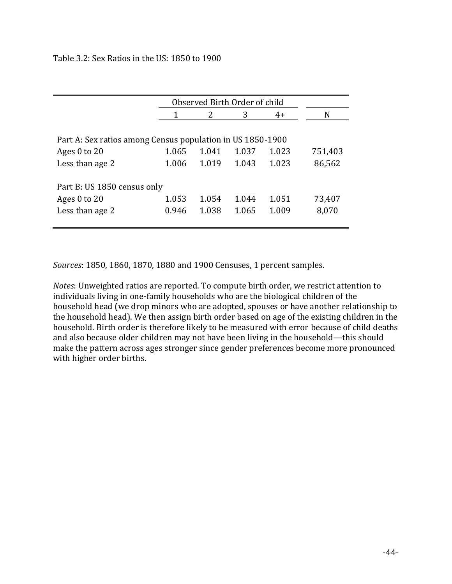### Table 3.2: Sex Ratios in the US: 1850 to 1900

|                                                            | Observed Birth Order of child |               |       |       |         |
|------------------------------------------------------------|-------------------------------|---------------|-------|-------|---------|
|                                                            | 1                             | $\mathcal{L}$ | 3     | $4+$  | N       |
|                                                            |                               |               |       |       |         |
| Part A: Sex ratios among Census population in US 1850-1900 |                               |               |       |       |         |
| Ages $0$ to $20$                                           | 1.065                         | 1.041         | 1.037 | 1.023 | 751,403 |
| Less than age 2                                            | 1.006                         | 1.019         | 1.043 | 1.023 | 86,562  |
|                                                            |                               |               |       |       |         |
| Part B: US 1850 census only                                |                               |               |       |       |         |
| Ages $0$ to $20$                                           | 1.053                         | 1.054         | 1.044 | 1.051 | 73,407  |
| Less than age 2                                            | 0.946                         | 1.038         | 1.065 | 1.009 | 8,070   |
|                                                            |                               |               |       |       |         |

*Sources*: 1850, 1860, 1870, 1880 and 1900 Censuses, 1 percent samples.

*Notes*: Unweighted ratios are reported. To compute birth order, we restrict attention to individuals living in one-family households who are the biological children of the household head (we drop minors who are adopted, spouses or have another relationship to the household head). We then assign birth order based on age of the existing children in the household. Birth order is therefore likely to be measured with error because of child deaths and also because older children may not have been living in the household—this should make the pattern across ages stronger since gender preferences become more pronounced with higher order births.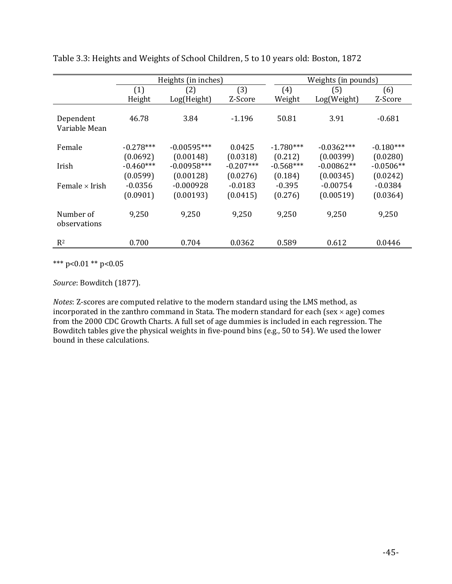|                            | Heights (in inches) |               |             | Weights (in pounds) |              |             |  |
|----------------------------|---------------------|---------------|-------------|---------------------|--------------|-------------|--|
|                            | (1)                 | (2)           | (3)         | (4)                 | (5)          | (6)         |  |
|                            | Height              | Log(Height)   | Z-Score     | Weight              | Log(Weight)  | Z-Score     |  |
| Dependent<br>Variable Mean | 46.78               | 3.84          | $-1.196$    | 50.81               | 3.91         | $-0.681$    |  |
| Female                     | $-0.278***$         | $-0.00595***$ | 0.0425      | $-1.780***$         | $-0.0362***$ | $-0.180***$ |  |
|                            | (0.0692)            | (0.00148)     | (0.0318)    | (0.212)             | (0.00399)    | (0.0280)    |  |
| Irish                      | $-0.460***$         | $-0.00958***$ | $-0.207***$ | $-0.568***$         | $-0.00862**$ | $-0.0506**$ |  |
|                            | (0.0599)            | (0.00128)     | (0.0276)    | (0.184)             | (0.00345)    | (0.0242)    |  |
| Female $\times$ Irish      | $-0.0356$           | $-0.000928$   | $-0.0183$   | $-0.395$            | $-0.00754$   | $-0.0384$   |  |
|                            | (0.0901)            | (0.00193)     | (0.0415)    | (0.276)             | (0.00519)    | (0.0364)    |  |
| Number of<br>observations  | 9,250               | 9,250         | 9,250       | 9,250               | 9,250        | 9,250       |  |
| $R^2$                      | 0.700               | 0.704         | 0.0362      | 0.589               | 0.612        | 0.0446      |  |

Table 3.3: Heights and Weights of School Children, 5 to 10 years old: Boston, 1872

\*\*\* p<0.01 \*\* p<0.05

*Source*: Bowditch (1877).

*Notes*: Z-scores are computed relative to the modern standard using the LMS method, as incorporated in the zanthro command in Stata. The modern standard for each (sex  $\times$  age) comes from the 2000 CDC Growth Charts. A full set of age dummies is included in each regression. The Bowditch tables give the physical weights in five-pound bins (e.g., 50 to 54). We used the lower bound in these calculations.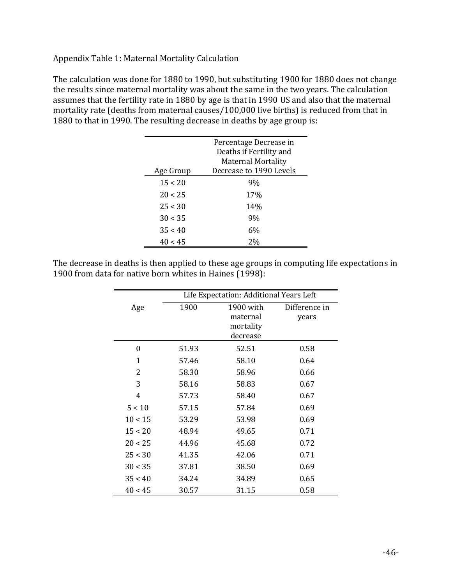Appendix Table 1: Maternal Mortality Calculation

The calculation was done for 1880 to 1990, but substituting 1900 for 1880 does not change the results since maternal mortality was about the same in the two years. The calculation assumes that the fertility rate in 1880 by age is that in 1990 US and also that the maternal mortality rate (deaths from maternal causes/100,000 live births) is reduced from that in 1880 to that in 1990. The resulting decrease in deaths by age group is:

|           | Percentage Decrease in<br>Deaths if Fertility and |  |  |  |
|-----------|---------------------------------------------------|--|--|--|
|           | <b>Maternal Mortality</b>                         |  |  |  |
| Age Group | Decrease to 1990 Levels                           |  |  |  |
| 15 < 20   | 9%                                                |  |  |  |
| 20 < 25   | 17%                                               |  |  |  |
| 25 < 30   | 14%                                               |  |  |  |
| 30 < 35   | 9%                                                |  |  |  |
| 35 < 40   | 6%                                                |  |  |  |
| 40 < 45   | 2%                                                |  |  |  |

The decrease in deaths is then applied to these age groups in computing life expectations in 1900 from data for native born whites in Haines (1998):

|         | Life Expectation: Additional Years Left |           |               |  |  |
|---------|-----------------------------------------|-----------|---------------|--|--|
| Age     | 1900                                    | 1900 with | Difference in |  |  |
|         |                                         | maternal  | years         |  |  |
|         |                                         | mortality |               |  |  |
|         |                                         | decrease  |               |  |  |
| 0       | 51.93                                   | 52.51     | 0.58          |  |  |
| 1       | 57.46                                   | 58.10     | 0.64          |  |  |
| 2       | 58.30                                   | 58.96     | 0.66          |  |  |
| 3       | 58.16                                   | 58.83     | 0.67          |  |  |
| 4       | 57.73                                   | 58.40     | 0.67          |  |  |
| 5 < 10  | 57.15                                   | 57.84     | 0.69          |  |  |
| 10 < 15 | 53.29                                   | 53.98     | 0.69          |  |  |
| 15 < 20 | 48.94                                   | 49.65     | 0.71          |  |  |
| 20 < 25 | 44.96                                   | 45.68     | 0.72          |  |  |
| 25 < 30 | 41.35                                   | 42.06     | 0.71          |  |  |
| 30 < 35 | 37.81                                   | 38.50     | 0.69          |  |  |
| 35 < 40 | 34.24                                   | 34.89     | 0.65          |  |  |
| 40 < 45 | 30.57                                   | 31.15     | 0.58          |  |  |